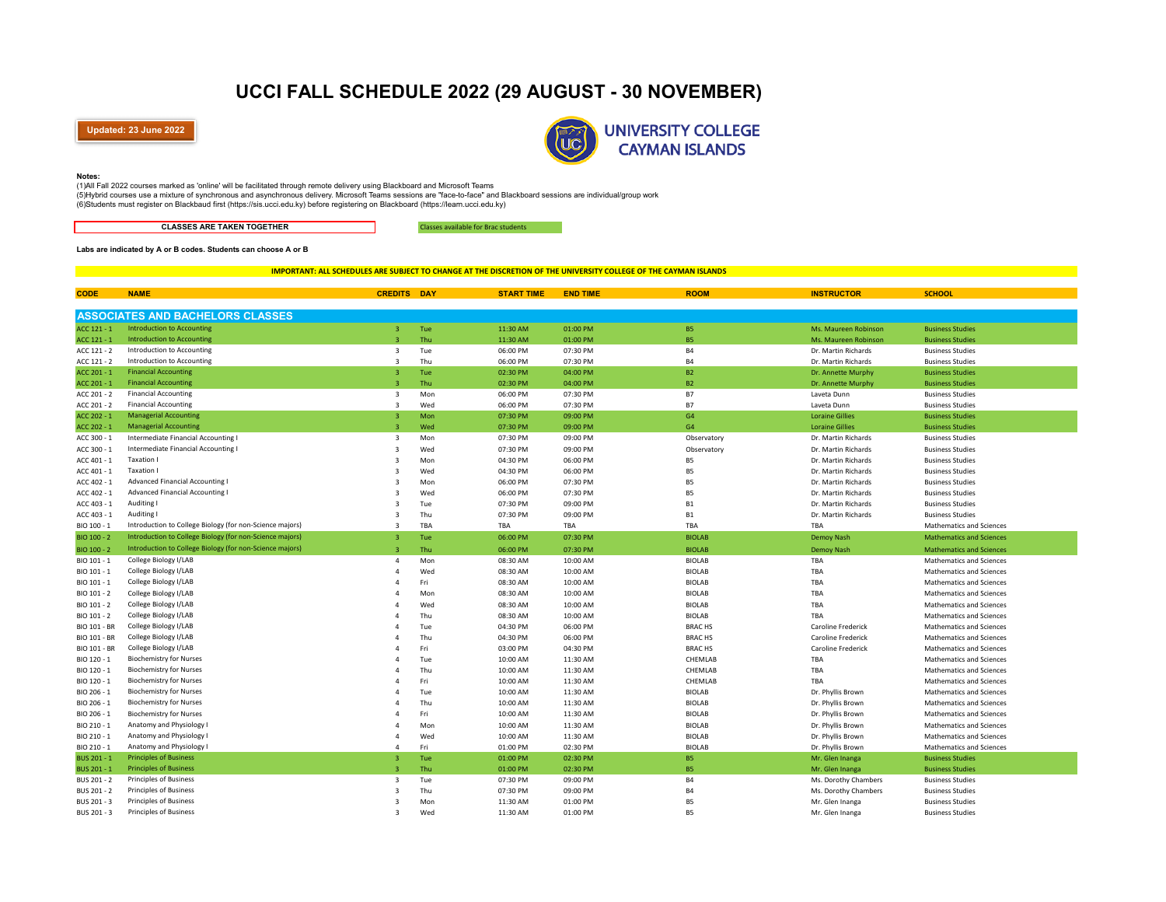# **UCCI FALL SCHEDULE 2022 (29 AUGUST - 30 NOVEMBER)**

**Updated: 23 June 2022**



#### **Notes:**

(1) All Fall 2022 courses marked as 'online' will be facilitated through remote delivery using Blackboard and Microsoft Teams

(5) Hybrid courses use a mixture of synchronous and asynchronous delivery. Microsoft Teams sessions are "face-to-face" and Blackboard sessions are individual/group work

(6) Students must register on Blackbaud first (https://sis.ucci.edu.ky) before registering on Blackboard (https://learn.ucci.edu.ky)

**CLASSES ARE TAKEN TOGETHER**

Classes available for Brac students

### **Labs are indicated by A or B codes. Students can choose A or B**

### **IMPORTANT: ALL SCHEDULES ARE SUBJECT TO CHANGE AT THE DISCRETION OF THE UNIVERSITY COLLEGE OF THE CAYMAN ISLANDS**

| <b>CODE</b>         | <b>NAME</b>                                              | <b>CREDITS DAY</b>      |     | <b>START TIME</b> | <b>END TIME</b> | <b>ROOM</b>   | <b>INSTRUCTOR</b>         | <b>SCHOOL</b>                   |
|---------------------|----------------------------------------------------------|-------------------------|-----|-------------------|-----------------|---------------|---------------------------|---------------------------------|
|                     |                                                          |                         |     |                   |                 |               |                           |                                 |
|                     | <b>ASSOCIATES AND BACHELORS CLASSES</b>                  |                         |     |                   |                 |               |                           |                                 |
| $ACC 121 - 1$       | <b>Introduction to Accounting</b>                        | $\overline{3}$          | Tue | 11:30 AM          | 01:00 PM        | <b>B5</b>     | Ms. Maureen Robinson      | <b>Business Studies</b>         |
| ACC 121 - 1         | <b>Introduction to Accounting</b>                        | $\overline{\mathbf{a}}$ | Thu | 11:30 AM          | 01:00 PM        | <b>B5</b>     | Ms. Maureen Robinson      | <b>Business Studies</b>         |
| ACC 121 - 2         | Introduction to Accounting                               | 3                       | Tue | 06:00 PM          | 07:30 PM        | <b>B4</b>     | Dr. Martin Richards       | <b>Business Studies</b>         |
| ACC 121 - 2         | Introduction to Accounting                               | $\mathbf{3}$            | Thu | 06:00 PM          | 07:30 PM        | <b>B4</b>     | Dr. Martin Richards       | <b>Business Studies</b>         |
| $ACC 201 - 1$       | <b>Financial Accounting</b>                              | 3                       | Tue | 02:30 PM          | 04:00 PM        | <b>B2</b>     | Dr. Annette Murphy        | <b>Business Studies</b>         |
| ACC 201 - 1         | <b>Financial Accounting</b>                              | $\overline{3}$          | Thu | 02:30 PM          | 04:00 PM        | <b>B2</b>     | Dr. Annette Murphy        | <b>Business Studies</b>         |
| ACC 201 - 2         | <b>Financial Accounting</b>                              | 3                       | Mon | 06:00 PM          | 07:30 PM        | <b>B7</b>     | Laveta Dunn               | <b>Business Studies</b>         |
| ACC 201 - 2         | <b>Financial Accounting</b>                              | $\overline{\mathbf{3}}$ | Wed | 06:00 PM          | 07:30 PM        | <b>B7</b>     | Laveta Dunn               | <b>Business Studies</b>         |
| ACC 202 - 1         | <b>Managerial Accounting</b>                             | 3                       | Mon | 07:30 PM          | 09:00 PM        | G4            | <b>Loraine Gillies</b>    | <b>Business Studies</b>         |
| ACC 202 - 1         | <b>Managerial Accounting</b>                             | $\overline{\mathbf{z}}$ | Wed | 07:30 PM          | 09:00 PM        | G4            | <b>Loraine Gillies</b>    | <b>Business Studies</b>         |
| ACC 300 - 1         | Intermediate Financial Accounting I                      | $\overline{3}$          | Mon | 07:30 PM          | 09:00 PM        | Observatory   | Dr. Martin Richards       | <b>Business Studies</b>         |
| ACC 300 - 1         | Intermediate Financial Accounting I                      | $\overline{3}$          | Wed | 07:30 PM          | 09:00 PM        | Observatory   | Dr. Martin Richards       | <b>Business Studies</b>         |
| ACC 401 - 1         | <b>Taxation I</b>                                        | $\overline{3}$          | Mon | 04:30 PM          | 06:00 PM        | <b>B5</b>     | Dr. Martin Richards       | <b>Business Studies</b>         |
| ACC 401 - 1         | <b>Taxation I</b>                                        | 3                       | Wed | 04:30 PM          | 06:00 PM        | <b>B5</b>     | Dr. Martin Richards       | <b>Business Studies</b>         |
| ACC 402 - 1         | <b>Advanced Financial Accounting I</b>                   | 3                       | Mon | 06:00 PM          | 07:30 PM        | <b>B5</b>     | Dr. Martin Richards       | <b>Business Studies</b>         |
| ACC 402 - 1         | <b>Advanced Financial Accounting I</b>                   | 3                       | Wed | 06:00 PM          | 07:30 PM        | <b>B5</b>     | Dr. Martin Richards       | <b>Business Studies</b>         |
| ACC 403 - 1         | Auditing I                                               | 3                       | Tue | 07:30 PM          | 09:00 PM        | <b>B1</b>     | Dr. Martin Richards       | <b>Business Studies</b>         |
| ACC 403 - 1         | Auditing I                                               | 3                       | Thu | 07:30 PM          | 09:00 PM        | <b>B1</b>     | Dr. Martin Richards       | <b>Business Studies</b>         |
| BIO 100 - 1         | Introduction to College Biology (for non-Science majors) | 3                       | TBA | TBA               | TBA             | TBA           | TBA                       | Mathematics and Sciences        |
| BIO 100 - 2         | Introduction to College Biology (for non-Science majors) | $\overline{3}$          | Tue | 06:00 PM          | 07:30 PM        | <b>BIOLAB</b> | Demoy Nash                | <b>Mathematics and Sciences</b> |
| BIO 100 - 2         | Introduction to College Biology (for non-Science majors) | ঽ                       | Thu | 06:00 PM          | 07:30 PM        | <b>BIOLAB</b> | Demoy Nash                | <b>Mathematics and Sciences</b> |
| BIO 101 - 1         | College Biology I/LAB                                    | $\overline{a}$          | Mon | 08:30 AM          | 10:00 AM        | <b>BIOLAB</b> | TBA                       | <b>Mathematics and Sciences</b> |
| BIO 101 - 1         | College Biology I/LAB                                    | Δ                       | Wed | 08:30 AM          | 10:00 AM        | <b>BIOLAB</b> | TBA                       | <b>Mathematics and Sciences</b> |
| BIO 101 - 1         | College Biology I/LAB                                    | Δ                       | Fri | 08:30 AM          | 10:00 AM        | <b>BIOLAB</b> | TBA                       | Mathematics and Sciences        |
| BIO 101 - 2         | College Biology I/LAB                                    |                         | Mon | 08:30 AM          | 10:00 AM        | <b>BIOLAB</b> | TBA                       | Mathematics and Sciences        |
| BIO 101 - 2         | College Biology I/LAB                                    |                         | Wed | 08:30 AM          | 10:00 AM        | <b>BIOLAB</b> | TBA                       | Mathematics and Sciences        |
| BIO 101 - 2         | College Biology I/LAB                                    |                         | Thu | 08:30 AM          | 10:00 AM        | <b>BIOLAB</b> | TBA                       | Mathematics and Sciences        |
| <b>BIO 101 - BR</b> | College Biology I/LAB                                    |                         | Tue | 04:30 PM          | 06:00 PM        | <b>BRACHS</b> | Caroline Frederick        | Mathematics and Sciences        |
| <b>BIO 101 - BR</b> | College Biology I/LAB                                    |                         | Thu | 04:30 PM          | 06:00 PM        | <b>BRACHS</b> | <b>Caroline Frederick</b> | <b>Mathematics and Sciences</b> |
| <b>BIO 101 - BR</b> | College Biology I/LAB                                    |                         | Fri | 03:00 PM          | 04:30 PM        | <b>BRACHS</b> | <b>Caroline Frederick</b> | <b>Mathematics and Sciences</b> |
| BIO 120 - 1         | <b>Biochemistry for Nurses</b>                           | Δ                       | Tue | 10:00 AM          | 11:30 AM        | CHEMLAB       | TBA                       | <b>Mathematics and Sciences</b> |
| BIO 120 - 1         | <b>Biochemistry for Nurses</b>                           |                         | Thu | 10:00 AM          | 11:30 AM        | CHEMLAB       | TBA                       | Mathematics and Sciences        |
| BIO 120 - 1         | <b>Biochemistry for Nurses</b>                           | Δ                       | Fri | 10:00 AM          | 11:30 AM        | CHEMLAB       | TBA                       | Mathematics and Sciences        |
| BIO 206 - 1         | <b>Biochemistry for Nurses</b>                           | Δ                       | Tue | 10:00 AM          | 11:30 AM        | <b>BIOLAB</b> | Dr. Phyllis Brown         | Mathematics and Sciences        |
| BIO 206 - 1         | <b>Biochemistry for Nurses</b>                           | Δ                       | Thu | 10:00 AM          | 11:30 AM        | <b>BIOLAB</b> | Dr. Phyllis Brown         | Mathematics and Sciences        |
| BIO 206 - 1         | <b>Biochemistry for Nurses</b>                           |                         | Fri | 10:00 AM          | 11:30 AM        | <b>BIOLAB</b> | Dr. Phyllis Brown         | Mathematics and Sciences        |
| BIO 210 - 1         | Anatomy and Physiology I                                 |                         | Mon | 10:00 AM          | 11:30 AM        | <b>BIOLAB</b> | Dr. Phyllis Brown         | <b>Mathematics and Sciences</b> |
| BIO 210 - 1         | Anatomy and Physiology I                                 | Δ                       | Wed | 10:00 AM          | 11:30 AM        | <b>BIOLAB</b> | Dr. Phyllis Brown         | <b>Mathematics and Sciences</b> |
| BIO 210 - 1         | Anatomy and Physiology I                                 | Δ                       | Fri | 01:00 PM          | 02:30 PM        | <b>BIOLAB</b> | Dr. Phyllis Brown         | Mathematics and Sciences        |
| BUS 201 - 1         | <b>Principles of Business</b>                            | $\overline{3}$          | Tue | 01:00 PM          | 02:30 PM        | <b>B5</b>     | Mr. Glen Inanga           | <b>Business Studies</b>         |
| BUS 201 - 1         | <b>Principles of Business</b>                            | $\overline{3}$          | Thu | 01:00 PM          | 02:30 PM        | <b>B5</b>     | Mr. Glen Inanga           | <b>Business Studies</b>         |
| BUS 201 - 2         | Principles of Business                                   | $\overline{3}$          | Tue | 07:30 PM          | 09:00 PM        | <b>B4</b>     | Ms. Dorothy Chambers      | <b>Business Studies</b>         |
| BUS 201 - 2         | <b>Principles of Business</b>                            | $\overline{3}$          | Thu | 07:30 PM          | 09:00 PM        | <b>B4</b>     | Ms. Dorothy Chambers      | <b>Business Studies</b>         |
| BUS 201 - 3         | <b>Principles of Business</b>                            | $\overline{3}$          | Mon | 11:30 AM          | 01:00 PM        | <b>B5</b>     | Mr. Glen Inanga           | <b>Business Studies</b>         |
| BUS 201 - 3         | <b>Principles of Business</b>                            | २                       | Wed | 11:30 AM          | 01:00 PM        | B5            | Mr. Glen Inanga           | <b>Business Studies</b>         |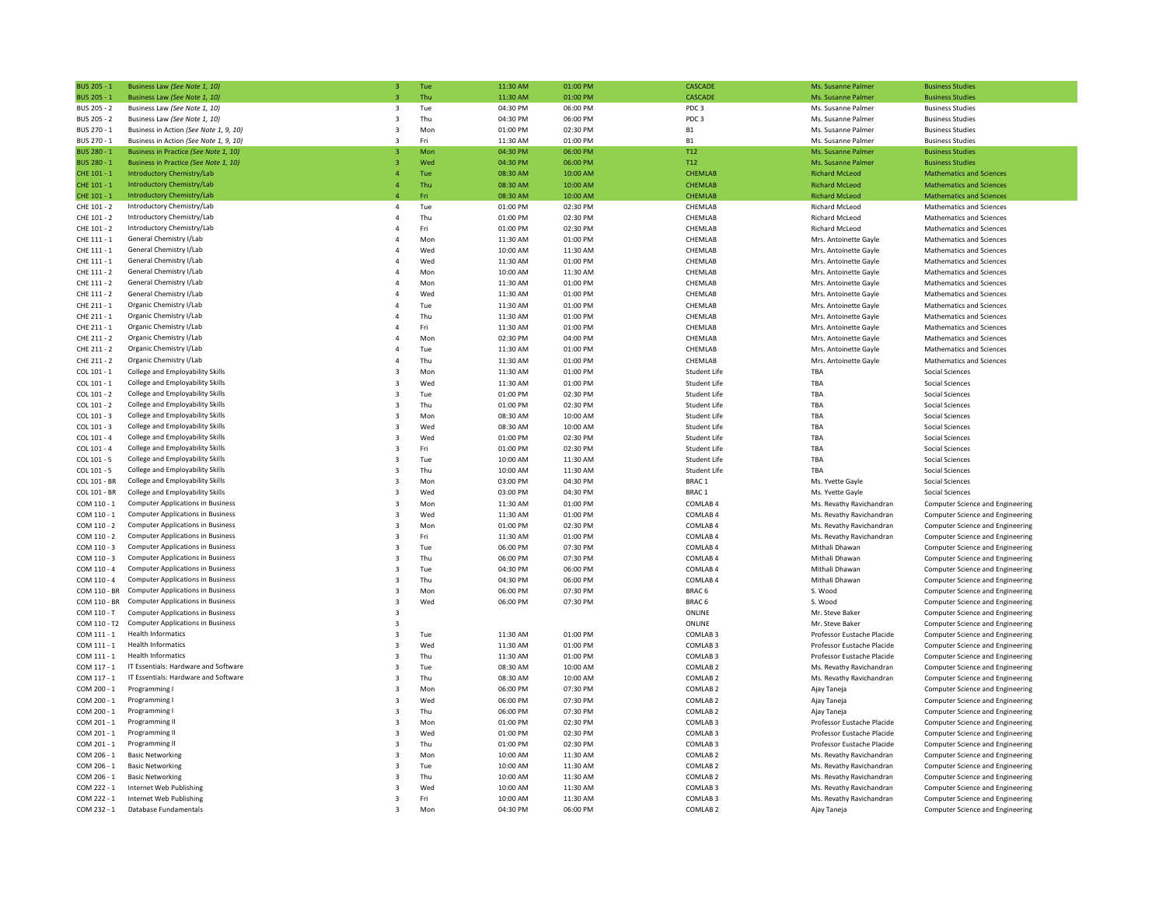| BUS 205 - 1        | Business Law (See Note 1, 10)            | 3                       | Tue | 11:30 AM | 01:00 PM | CASCADE             | Ms. Susanne Palmer         | <b>Business Studies</b>          |
|--------------------|------------------------------------------|-------------------------|-----|----------|----------|---------------------|----------------------------|----------------------------------|
| <b>BUS 205 - 1</b> | Business Law (See Note 1, 10)            | $\overline{3}$          | Thu | 11:30 AM | 01:00 PM | CASCADE             | Ms. Susanne Palmer         | <b>Business Studies</b>          |
| BUS 205 - 2        | Business Law (See Note 1, 10)            | 3                       | Tue | 04:30 PM | 06:00 PM | PDC <sub>3</sub>    | Ms. Susanne Palmer         | <b>Business Studies</b>          |
| BUS 205 - 2        | Business Law (See Note 1, 10)            | 3                       | Thu | 04:30 PM | 06:00 PM | PDC <sub>3</sub>    | Ms. Susanne Palmer         | <b>Business Studies</b>          |
| BUS 270 - 1        | Business in Action (See Note 1, 9, 10)   | 3                       | Mor | 01:00 PM | 02:30 PM | <b>B1</b>           | Ms. Susanne Palmer         | <b>Business Studies</b>          |
| BUS 270 - 1        | Business in Action (See Note 1, 9, 10)   |                         | Fri | 11:30 AM | 01:00 PM | <b>B1</b>           | Ms. Susanne Palmer         | <b>Business Studies</b>          |
| <b>BUS 280 - 1</b> | Business in Practice (See Note 1, 10)    | 3                       | Mon | 04:30 PM | 06:00 PM | T <sub>12</sub>     | Ms. Susanne Palmer         | <b>Business Studies</b>          |
| BUS 280 - 1        | Business in Practice (See Note 1, 10)    | $\overline{3}$          | Wed | 04:30 PM | 06:00 PM | T <sub>12</sub>     | Ms. Susanne Palmer         | <b>Business Studies</b>          |
| CHF 101 - 1        | Introductory Chemistry/Lab               | $\overline{a}$          | Tue | 08:30 AM | 10:00 AM | <b>CHEMLAB</b>      | <b>Richard McLeod</b>      | <b>Mathematics and Sciences</b>  |
| CHE 101 - 1        | <b>Introductory Chemistry/Lab</b>        | $\overline{4}$          | Thu | 08:30 AM | 10:00 AM | <b>CHEMLAB</b>      | <b>Richard McLeod</b>      | <b>Mathematics and Sciences</b>  |
| CHE 101 - 1        | <b>Introductory Chemistry/Lab</b>        | $\overline{4}$          | Fri | 08:30 AM | 10:00 AM | CHEMLAB             | <b>Richard McLeod</b>      | <b>Mathematics and Sciences</b>  |
| CHE 101 - 2        | Introductory Chemistry/Lab               | $\sqrt{4}$              | Tue | 01:00 PM | 02:30 PM | CHEMLAB             | <b>Richard McLeod</b>      | Mathematics and Sciences         |
| CHE 101 - 2        | Introductory Chemistry/Lab               | $\overline{4}$          | Thu | 01:00 PM | 02:30 PM | CHEMLAB             | <b>Richard McLeod</b>      | Mathematics and Sciences         |
| CHE 101 - 2        | Introductory Chemistry/Lab               | $\overline{4}$          | Fri | 01:00 PM | 02:30 PM | CHEMLAB             | Richard McLeod             | <b>Mathematics and Sciences</b>  |
| CHE 111 - 1        | General Chemistry I/Lab                  | $\overline{4}$          | Mon | 11:30 AM | 01:00 PM | CHEMLAB             | Mrs. Antoinette Gayle      | Mathematics and Sciences         |
| CHE 111 - 1        | General Chemistry I/Lab                  | $\overline{4}$          | Wed | 10:00 AM | 11:30 AM | CHEMLAB             | Mrs. Antoinette Gayle      | Mathematics and Sciences         |
| CHE 111 - 1        | General Chemistry I/Lab                  | $\overline{4}$          | Wed | 11:30 AM | 01:00 PM | CHEMLAB             | Mrs. Antoinette Gayle      | Mathematics and Sciences         |
| CHE 111 - 2        | General Chemistry I/Lab                  | $\overline{4}$          | Mon | 10:00 AM | 11:30 AM | CHEMLAB             | Mrs. Antoinette Gayle      | Mathematics and Sciences         |
| CHE 111 - 2        | General Chemistry I/Lab                  | $\Delta$                | Mor | 11:30 AM | 01:00 PM | CHEMLAB             | Mrs. Antoinette Gayle      | <b>Mathematics and Sciences</b>  |
| CHE 111 - 2        | General Chemistry I/Lab                  |                         | Wed | 11:30 AM | 01:00 PM | CHEMLAB             | Mrs. Antoinette Gayle      | Mathematics and Sciences         |
| CHE 211 - 1        | Organic Chemistry I/Lab                  | $\overline{4}$          | Tue | 11:30 AM | 01:00 PM | CHEMLAB             | Mrs. Antoinette Gayle      | <b>Mathematics and Sciences</b>  |
| CHE 211 - 1        | Organic Chemistry I/Lab                  | $\overline{4}$          | Thu | 11:30 AM | 01:00 PM | CHEMLAB             | Mrs. Antoinette Gayle      | Mathematics and Sciences         |
| CHE 211 - 1        | Organic Chemistry I/Lab                  | $\overline{4}$          | Fri | 11:30 AM | 01:00 PM | CHEMLAB             | Mrs. Antoinette Gayle      | Mathematics and Sciences         |
| CHE 211 - 2        | Organic Chemistry I/Lab                  | $\overline{4}$          | Mon | 02:30 PM | 04:00 PM | CHEMLAB             | Mrs. Antoinette Gayle      | Mathematics and Sciences         |
| CHE 211 - 2        | Organic Chemistry I/Lab                  | $\overline{4}$          | Tue | 11:30 AM | 01:00 PM | CHEMLAB             | Mrs. Antoinette Gayle      | Mathematics and Sciences         |
| CHE 211 - 2        | Organic Chemistry I/Lab                  | $\overline{4}$          | Thu | 11:30 AM | 01:00 PM | CHEMLAB             | Mrs. Antoinette Gayle      | Mathematics and Sciences         |
| COL 101 - 1        | College and Employability Skills         | 3                       | Mor | 11:30 AM | 01:00 PM | Student Life        | TBA                        | Social Sciences                  |
| COL 101 - 1        | College and Employability Skills         | $\overline{\mathbf{3}}$ | Wed | 11:30 AM | 01:00 PM | Student Life        | TBA                        | <b>Social Sciences</b>           |
| COL 101 - 2        | College and Employability Skills         | $\overline{\mathbf{3}}$ | Tue | 01:00 PM | 02:30 PM | <b>Student Life</b> | TBA                        | <b>Social Sciences</b>           |
| COL 101 - 2        | College and Employability Skills         | 3                       | Thu | 01:00 PM | 02:30 PM | Student Life        | TBA                        | Social Sciences                  |
| COL 101 - 3        | College and Employability Skills         | $\overline{\mathbf{3}}$ | Mon | 08:30 AM | 10:00 AM | Student Life        | TBA                        | <b>Social Sciences</b>           |
| COL 101 - 3        | College and Employability Skills         | $\overline{\mathbf{3}}$ | Wed | 08:30 AM | 10:00 AM | Student Life        | TBA                        | Social Sciences                  |
| COL 101 - 4        | College and Employability Skills         | $\overline{\mathbf{3}}$ | Wed | 01:00 PM | 02:30 PM | Student Life        | TBA                        | Social Sciences                  |
| COL 101 - 4        | College and Employability Skills         | $\overline{\mathbf{3}}$ | Fri | 01:00 PM | 02:30 PM | Student Life        | TBA                        | <b>Social Sciences</b>           |
| COL 101 - 5        | College and Employability Skills         | $\overline{\mathbf{3}}$ | Tue | 10:00 AM | 11:30 AM | Student Life        | TBA                        | Social Sciences                  |
| COL 101 - 5        | College and Employability Skills         | $\overline{3}$          | Thu | 10:00 AM | 11:30 AM | Student Life        | TBA                        | Social Sciences                  |
| COL 101 - BR       | College and Employability Skills         | $\overline{\mathbf{3}}$ | Mon | 03:00 PM | 04:30 PM | BRAC <sub>1</sub>   | Ms. Yvette Gayle           | <b>Social Sciences</b>           |
| COL 101 - BR       | College and Employability Skills         | $\overline{\mathbf{3}}$ | Wed | 03:00 PM | 04:30 PM | BRAC <sub>1</sub>   | Ms. Yvette Gayle           | <b>Social Sciences</b>           |
| COM 110 - 1        | <b>Computer Applications in Business</b> | 3                       | Mon | 11:30 AM | 01:00 PM | COMLAB 4            | Ms. Revathy Ravichandran   | Computer Science and Engineering |
| COM 110 - 1        | <b>Computer Applications in Business</b> | $\overline{\mathbf{3}}$ | Wed | 11:30 AM | 01:00 PM | COMLAB 4            | Ms. Revathy Ravichandran   | Computer Science and Engineering |
| COM 110 - 2        | <b>Computer Applications in Business</b> | $\overline{3}$          | Mor | 01:00 PM | 02:30 PM | COMLAB 4            | Ms. Revathy Ravichandran   | Computer Science and Engineering |
| COM 110 - 2        | <b>Computer Applications in Business</b> | $\overline{\mathbf{3}}$ | Fri | 11:30 AM | 01:00 PM | COMLAB 4            | Ms. Revathy Ravichandran   | Computer Science and Engineering |
| $COM 110 - 3$      | <b>Computer Applications in Business</b> | $\overline{3}$          | Tue | 06:00 PM | 07:30 PM | COMLAB 4            | Mithali Dhawan             | Computer Science and Engineering |
| COM 110 - 3        | <b>Computer Applications in Business</b> | $\overline{\mathbf{3}}$ | Thu | 06:00 PM | 07:30 PM | COMLAB 4            | Mithali Dhawan             | Computer Science and Engineering |
| $COM 110 - 4$      | <b>Computer Applications in Business</b> | $\overline{3}$          | Tue | 04:30 PM | 06:00 PM | COMLAB 4            | Mithali Dhawan             | Computer Science and Engineering |
| COM 110 - 4        | <b>Computer Applications in Business</b> | 3                       | Thu | 04:30 PM | 06:00 PM | COMLAB 4            | Mithali Dhawan             | Computer Science and Engineering |
| COM 110 - BR       | <b>Computer Applications in Business</b> | 3                       | Mon | 06:00 PM | 07:30 PM | BRAC <sub>6</sub>   | S. Wood                    | Computer Science and Engineering |
| COM 110 - BR       | <b>Computer Applications in Business</b> | $\overline{\mathbf{3}}$ | Wed | 06:00 PM | 07:30 PM | BRAC <sub>6</sub>   | S. Wood                    | Computer Science and Engineering |
| COM 110 - T        | <b>Computer Applications in Business</b> | $\overline{\mathbf{3}}$ |     |          |          | ONLINE              | Mr. Steve Baker            | Computer Science and Engineering |
| COM 110 - T2       | <b>Computer Applications in Business</b> | $\overline{\mathbf{3}}$ |     |          |          | ONLINE              | Mr. Steve Baker            | Computer Science and Engineering |
| COM 111 - 1        | <b>Health Informatics</b>                | $\overline{\mathbf{3}}$ | Tue | 11:30 AM | 01:00 PM | COMLAB <sub>3</sub> | Professor Eustache Placide | Computer Science and Engineering |
| COM 111 - 1        | Health Informatics                       | $\overline{\mathbf{3}}$ | Wed | 11:30 AM | 01:00 PM | COMLAB <sub>3</sub> | Professor Eustache Placide | Computer Science and Engineering |
| COM 111 - 1        | <b>Health Informatics</b>                | $\overline{3}$          | Thu | 11:30 AM | 01:00 PM | COMLAB <sub>3</sub> | Professor Eustache Placide | Computer Science and Engineering |
| COM 117 - 1        | IT Essentials: Hardware and Software     | $\overline{\mathbf{3}}$ | Tue | 08:30 AM | 10:00 AM | COMLAB <sub>2</sub> | Ms. Revathy Ravichandran   | Computer Science and Engineering |
| COM 117 - 1        | IT Essentials: Hardware and Software     | $\overline{3}$          | Thu | 08:30 AM | 10:00 AM | COMLAB <sub>2</sub> | Ms. Revathy Ravichandran   | Computer Science and Engineering |
| COM 200 - 1        | Programming I                            | 3                       | Mon | 06:00 PM | 07:30 PM | COMLAB <sub>2</sub> | Ajay Taneja                | Computer Science and Engineering |
| COM 200 - 1        | Programming I                            | $\overline{\mathbf{3}}$ | Wed | 06:00 PM | 07:30 PM | COMLAB <sub>2</sub> | Ajay Taneja                | Computer Science and Engineering |
| COM 200 - 1        | Programming I                            | 3                       | Thu | 06:00 PM | 07:30 PM | COMLAB <sub>2</sub> | Ajay Taneja                | Computer Science and Engineering |
| COM 201 - 1        | Programming II                           | $\overline{\mathbf{3}}$ | Mon | 01:00 PM | 02:30 PM | COMLAB <sub>3</sub> | Professor Eustache Placide | Computer Science and Engineering |
| COM 201 - 1        | Programming II                           | $\overline{\mathbf{3}}$ | Wed | 01:00 PM | 02:30 PM | COMLAB <sub>3</sub> | Professor Eustache Placide | Computer Science and Engineering |
| COM 201 - 1        | Programming II                           | $\overline{\mathbf{3}}$ | Thu | 01:00 PM | 02:30 PM | COMLAB <sub>3</sub> | Professor Eustache Placide | Computer Science and Engineering |
| COM 206 - 1        | <b>Basic Networking</b>                  | $\overline{3}$          | Mor | 10:00 AM | 11:30 AM | COMLAB <sub>2</sub> | Ms. Revathy Ravichandran   | Computer Science and Engineering |
| COM 206 - 1        | <b>Basic Networking</b>                  | $\overline{\mathbf{3}}$ | Tue | 10:00 AM | 11:30 AM | COMLAB <sub>2</sub> | Ms. Revathy Ravichandran   | Computer Science and Engineering |
| COM 206 - 1        | <b>Basic Networking</b>                  | $\overline{\mathbf{3}}$ | Thu | 10:00 AM | 11:30 AM | COMLAB <sub>2</sub> | Ms. Revathy Ravichandran   | Computer Science and Engineering |
| COM 222 - 1        | Internet Web Publishing                  | $\overline{\mathbf{3}}$ | Wed | 10:00 AM | 11:30 AM | COMLAB <sub>3</sub> | Ms. Revathy Ravichandran   | Computer Science and Engineering |
| COM 222 - 1        | Internet Web Publishing                  | $\overline{\mathbf{3}}$ | Fri | 10:00 AM | 11:30 AM | COMLAB <sub>3</sub> | Ms. Revathy Ravichandran   | Computer Science and Engineering |
| COM 232 - 1        | Database Fundamentals                    | $\overline{\mathbf{3}}$ | Mon | 04:30 PM | 06:00 PM | COMLAB <sub>2</sub> | Ajay Taneja                | Computer Science and Engineering |
|                    |                                          |                         |     |          |          |                     |                            |                                  |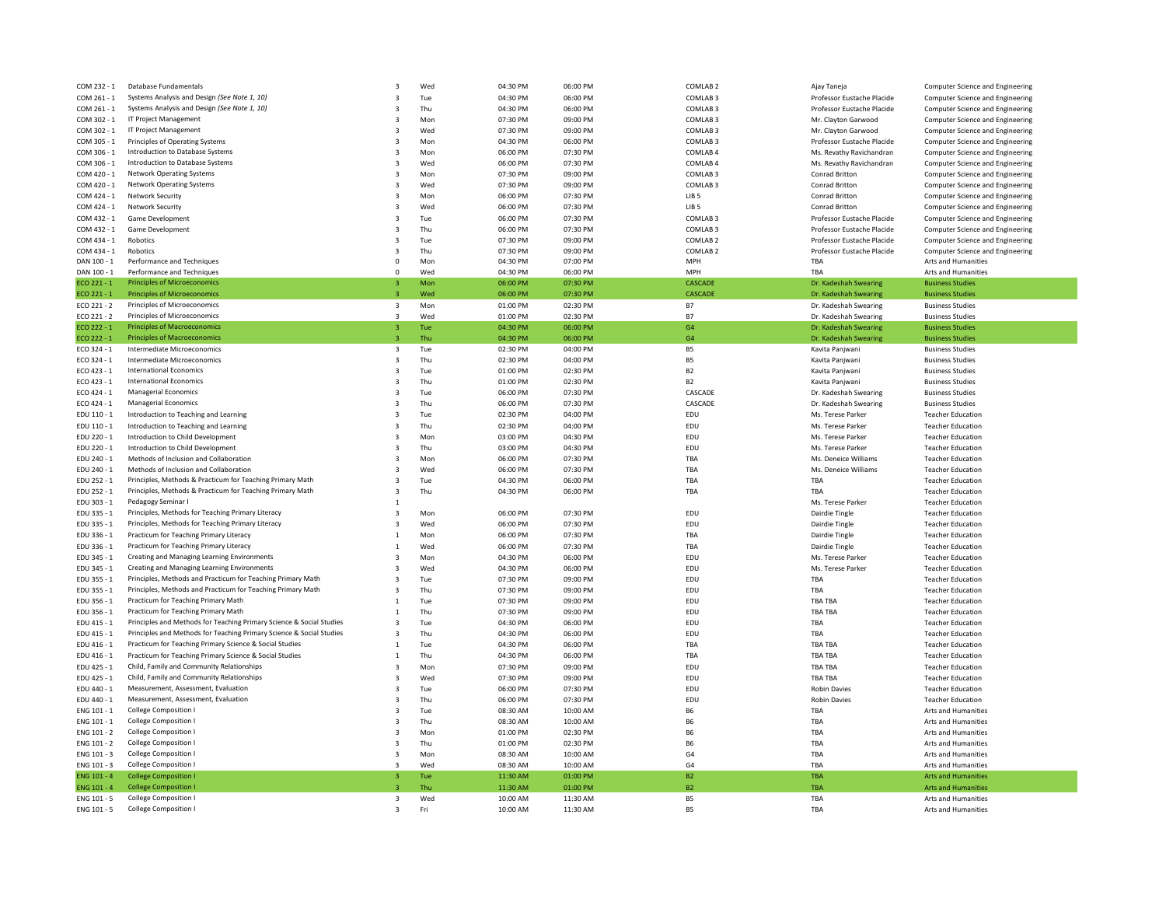| COM 232 - 1                | Database Fundamentals                                                | 3                       | Wed        | 04:30 PM             | 06:00 PM             | COMLAB <sub>2</sub> | Ajay Taneja                      | Computer Science and Engineering                     |
|----------------------------|----------------------------------------------------------------------|-------------------------|------------|----------------------|----------------------|---------------------|----------------------------------|------------------------------------------------------|
| COM 261 - 1                | Systems Analysis and Design (See Note 1, 10)                         | $\overline{3}$          | Tue        | 04:30 PM             | 06:00 PM             | COMLAB <sub>3</sub> | Professor Eustache Placide       | Computer Science and Engineering                     |
| COM 261 - 1                | Systems Analysis and Design (See Note 1, 10)                         | 3                       | Thu        | 04:30 PM             | 06:00 PM             | COMLAB <sub>3</sub> | Professor Eustache Placide       | Computer Science and Engineering                     |
| COM 302 - 1                | IT Project Management                                                | 3                       | Mon        | 07:30 PM             | 09:00 PM             | COMLAB <sub>3</sub> | Mr. Clayton Garwood              | Computer Science and Engineering                     |
| COM 302 - 1                | IT Project Management                                                | 3                       | Wed        | 07:30 PM             | 09:00 PM             | COMLAB <sub>3</sub> | Mr. Clayton Garwood              | Computer Science and Engineering                     |
| COM 305 - 1                | Principles of Operating Systems                                      | 3                       | Mon        | 04:30 PM             | 06:00 PM             | COMLAB <sub>3</sub> | Professor Eustache Placide       | Computer Science and Engineering                     |
| COM 306 - 1                | Introduction to Database Systems                                     | 3                       | Mon        | 06:00 PM             | 07:30 PM             | COMLAB 4            | Ms. Revathy Ravichandran         | Computer Science and Engineering                     |
| COM 306 - 1                | Introduction to Database Systems                                     | 3                       | Wed        | 06:00 PM             | 07:30 PM             | COMLAB 4            | Ms. Revathy Ravichandran         | Computer Science and Engineering                     |
| COM 420 - 1                | <b>Network Operating Systems</b>                                     | 3                       | Mon        | 07:30 PM             | 09:00 PM             | COMLAB <sub>3</sub> | Conrad Britton                   | Computer Science and Engineering                     |
| COM 420 - 1                | <b>Network Operating Systems</b>                                     | 3                       | Wed        | 07:30 PM             | 09:00 PM             | COMLAB <sub>3</sub> | Conrad Britton                   | Computer Science and Engineering                     |
| COM 424 - 1                | <b>Network Security</b>                                              | 3                       | Mon        | 06:00 PM             | 07:30 PM             | LIB <sub>5</sub>    | <b>Conrad Britton</b>            | Computer Science and Engineering                     |
| COM 424 - 1                | Network Security                                                     | 3                       | Wed        | 06:00 PM             | 07:30 PM             | LIB <sub>5</sub>    | <b>Conrad Britton</b>            | Computer Science and Engineering                     |
| COM 432 - 1                | Game Development                                                     | 3                       | Tue        | 06:00 PM             | 07:30 PM             | COMLAB <sub>3</sub> | Professor Eustache Placide       | Computer Science and Engineering                     |
| COM 432 - 1                | Game Development                                                     | 3                       | Thu        | 06:00 PM             | 07:30 PM             | COMLAB <sub>3</sub> | Professor Eustache Placide       | Computer Science and Engineering                     |
| COM 434 - 1                | Robotics                                                             | 3                       | Tue        | 07:30 PM             | 09:00 PM             | COMI AB 2           | Professor Eustache Placide       | Computer Science and Engineering                     |
| COM 434 - 1                | Robotics                                                             | 3                       | Thu        | 07:30 PM             | 09:00 PM             | COMLAB <sub>2</sub> | Professor Eustache Placide       | Computer Science and Engineering                     |
| DAN 100 - 1                | Performance and Techniques                                           | 0                       | Mon        | 04:30 PM             | 07:00 PM             | <b>MPH</b>          | TBA                              | Arts and Humanities                                  |
| DAN 100 - 1                | Performance and Techniques                                           | $\Omega$                | Wed        | 04:30 PM             | 06:00 PM             | <b>MPH</b>          | TBA                              | <b>Arts and Humanities</b>                           |
| ECO 221 - 1                | <b>Principles of Microeconomics</b>                                  | $\overline{\mathbf{3}}$ | Mon        | 06:00 PM             | 07:30 PM             | CASCADE             | Dr. Kadeshah Swearing            | <b>Business Studies</b>                              |
| $FCO 221 - 1$              | <b>Principles of Microeconomics</b>                                  | $\overline{\mathbf{z}}$ | Wed        | 06:00 PM             | 07:30 PM             | CASCADE             | Dr. Kadeshah Swearing            | <b>Business Studies</b>                              |
| ECO 221 - 2                | Principles of Microeconomics                                         | $\overline{\mathbf{3}}$ | Mon        | 01:00 PM             | 02:30 PM             | <b>B7</b>           | Dr. Kadeshah Swearing            | <b>Business Studies</b>                              |
| ECO 221 - 2                | Principles of Microeconomics                                         | $\overline{\mathbf{3}}$ | Wed        | 01:00 PM             | 02:30 PM             | <b>B7</b>           | Dr. Kadeshah Swearing            | <b>Business Studies</b>                              |
| ECO 222 - 1                | <b>Principles of Macroeconomics</b>                                  | 3                       | Tue        | 04:30 PM             | 06:00 PM             | G <sub>4</sub>      | Dr. Kadeshah Swearing            | <b>Business Studies</b>                              |
| $FCO 222 - 1$              | <b>Principles of Macroeconomics</b>                                  | $\overline{\mathbf{3}}$ | Thu        | 04:30 PM             | 06:00 PM             | G4                  | Dr. Kadeshah Swearing            | <b>Business Studies</b>                              |
| ECO 324 - 1                | Intermediate Microeconomics                                          | 3                       | Tue        | 02:30 PM             | 04:00 PM             | <b>B5</b>           | Kavita Panjwani                  | <b>Business Studies</b>                              |
| $FCO$ 324 - 1              | Intermediate Microeconomics                                          | 3                       | Thu        | 02:30 PM             | 04:00 PM             | <b>B5</b>           | Kavita Panjwani                  | <b>Business Studies</b>                              |
| ECO 423 - 1                | <b>International Economics</b>                                       | 3                       | Tue        | 01:00 PM             | 02:30 PM             | B <sub>2</sub>      | Kavita Panjwani                  | <b>Business Studies</b>                              |
| ECO 423 - 1                | <b>International Economics</b>                                       | $\overline{3}$          | Thu        | 01:00 PM             | 02:30 PM             | B2                  | Kavita Panjwani                  | <b>Business Studies</b>                              |
| ECO 424 - 1                | <b>Managerial Economics</b>                                          | 3                       | Tue        | 06:00 PM             | 07:30 PM             | CASCADE             | Dr. Kadeshah Swearing            | <b>Business Studies</b>                              |
| ECO 424 - 1                | <b>Managerial Economics</b>                                          | $\overline{\mathbf{3}}$ | Thu        | 06:00 PM             | 07:30 PM             | CASCADE             | Dr. Kadeshah Swearing            | <b>Business Studies</b>                              |
| EDU 110 - 1                | Introduction to Teaching and Learning                                | 3                       | Tue        | 02:30 PM             | 04:00 PM             | EDU                 | Ms. Terese Parker                | <b>Teacher Education</b>                             |
| EDU 110 - 1                | Introduction to Teaching and Learning                                | $\overline{\mathbf{3}}$ | Thu        | 02:30 PM             | 04:00 PM             | EDU                 | Ms. Terese Parker                | <b>Teacher Education</b>                             |
| EDU 220 - 1                | Introduction to Child Development                                    | 3                       | Mon        | 03:00 PM             | 04:30 PM             | EDU                 | Ms. Terese Parker                | <b>Teacher Education</b>                             |
| EDU 220 - 1                | Introduction to Child Development                                    | 3                       | Thu        | 03:00 PM             | 04:30 PM             | EDU                 | Ms. Terese Parker                | <b>Teacher Education</b>                             |
| EDU 240 - 1                | Methods of Inclusion and Collaboration                               | 3                       | Mon        | 06:00 PM             | 07:30 PM             | TRA                 | Ms. Deneice Williams             | <b>Teacher Education</b>                             |
| EDU 240 - 1                | Methods of Inclusion and Collaboration                               | 3                       | Wed        | 06:00 PM             | 07:30 PM             | TBA                 | Ms. Deneice Williams             | <b>Teacher Education</b>                             |
| EDU 252 - 1                | Principles, Methods & Practicum for Teaching Primary Math            | 3                       | Tue        | 04:30 PM             | 06:00 PM             | TBA                 | TBA                              | <b>Teacher Education</b>                             |
| EDU 252 - 1                | Principles, Methods & Practicum for Teaching Primary Math            | 3                       | Thu        | 04:30 PM             | 06:00 PM             | TBA                 | TBA                              | <b>Teacher Education</b>                             |
|                            | Pedagogy Seminar                                                     | $\mathbf{1}$            |            |                      |                      |                     |                                  | <b>Teacher Education</b>                             |
| EDU 303 - 1                | Principles, Methods for Teaching Primary Literacy                    |                         |            |                      |                      |                     | Ms. Terese Parker                |                                                      |
| EDU 335 - 1<br>EDU 335 - 1 | Principles, Methods for Teaching Primary Literacy                    | 3<br>3                  | Mon<br>Wed | 06:00 PM<br>06:00 PM | 07:30 PM<br>07:30 PM | EDU<br>EDU          | Dairdie Tingle<br>Dairdie Tingle | <b>Teacher Education</b><br><b>Teacher Education</b> |
|                            |                                                                      |                         |            |                      |                      |                     |                                  |                                                      |
| EDU 336 - 1                | Practicum for Teaching Primary Literacy                              | $\mathbf{1}$            | Mon        | 06:00 PM             | 07:30 PM             | TBA                 | Dairdie Tingle                   | <b>Teacher Education</b>                             |
| EDU 336 - 1                | Practicum for Teaching Primary Literacy                              | 1                       | Wed        | 06:00 PM             | 07:30 PM             | TBA                 | Dairdie Tingle                   | <b>Teacher Education</b>                             |
| EDU 345 - 1                | Creating and Managing Learning Environments                          | 3                       | Mon        | 04:30 PM             | 06:00 PM             | EDU                 | Ms. Terese Parker                | <b>Teacher Education</b>                             |
| EDU 345 - 1                | Creating and Managing Learning Environments                          | 3                       | Wed        | 04:30 PM             | 06:00 PM             | EDU                 | Ms. Terese Parker                | <b>Teacher Education</b>                             |
| EDU 355 - 1                | Principles, Methods and Practicum for Teaching Primary Math          | 3                       | Tue        | 07:30 PM             | 09:00 PM             | EDU                 | TBA                              | <b>Teacher Education</b>                             |
| EDU 355 - 1                | Principles, Methods and Practicum for Teaching Primary Math          | 3                       | Thu        | 07:30 PM             | 09:00 PM             | EDU                 | TBA                              | <b>Teacher Education</b>                             |
| EDU 356 - 1                | Practicum for Teaching Primary Math                                  | $\mathbf{1}$            | Tue        | 07:30 PM             | 09:00 PM             | EDU                 | TBA TBA                          | <b>Teacher Education</b>                             |
| EDU 356 - 1                | Practicum for Teaching Primary Math                                  | $\mathbf{1}$            | Thu        | 07:30 PM             | 09:00 PM             | EDU                 | TBA TBA                          | <b>Teacher Education</b>                             |
| EDU 415 - 1                | Principles and Methods for Teaching Primary Science & Social Studies | 3                       | Tue        | 04:30 PM             | 06:00 PM             | EDU                 | TBA                              | <b>Teacher Education</b>                             |
| EDU 415 - 1                | Principles and Methods for Teaching Primary Science & Social Studies | 3                       | Thu        | 04:30 PM             | 06:00 PM             | EDU                 | TBA                              | <b>Teacher Education</b>                             |
| EDU 416 - 1                | Practicum for Teaching Primary Science & Social Studies              | $\mathbf{1}$            | Tue        | 04:30 PM             | 06:00 PM             | TBA                 | TBA TBA                          | <b>Teacher Education</b>                             |
| EDU 416 - 1                | Practicum for Teaching Primary Science & Social Studies              | $\mathbf{1}$            | Thu        | 04:30 PM             | 06:00 PM             | TBA                 | TRA TRA                          | <b>Teacher Education</b>                             |
| FDU 425 - 1                | Child, Family and Community Relationships                            | $\overline{3}$          | Mon        | 07:30 PM             | 09:00 PM             | EDU                 | <b>TBA TBA</b>                   | <b>Teacher Education</b>                             |
| EDU 425 - 1                | Child, Family and Community Relationships                            | 3                       | Wed        | 07:30 PM             | 09:00 PM             | EDU                 | <b>TBA TBA</b>                   | <b>Teacher Education</b>                             |
| FDU 440 - 1                | Measurement, Assessment, Evaluation                                  | $\overline{\mathbf{3}}$ | Tue        | 06:00 PM             | 07:30 PM             | EDU                 | <b>Robin Davies</b>              | <b>Teacher Education</b>                             |
| EDU 440 - 1                | Measurement, Assessment, Evaluation                                  | 3                       | Thu        | 06:00 PM             | 07:30 PM             | EDU                 | <b>Robin Davies</b>              | <b>Teacher Education</b>                             |
| FNG 101 - 1                | <b>College Composition I</b>                                         | $\overline{\mathbf{3}}$ | Tue        | 08:30 AM             | 10:00 AM             | <b>B6</b>           | TBA                              | Arts and Humanities                                  |
| ENG 101 - 1                | <b>College Composition</b>                                           | 3                       | Thu        | 08:30 AM             | 10:00 AM             | <b>B6</b>           | TBA                              | Arts and Humanities                                  |
| ENG 101 - 2                | <b>College Composition</b>                                           | 3                       | Mon        | 01:00 PM             | 02:30 PM             | <b>B6</b>           | TBA                              | Arts and Humanities                                  |
| ENG 101 - 2                | <b>College Composition</b>                                           | 3                       | Thu        | 01:00 PM             | 02:30 PM             | <b>B6</b>           | TBA                              | Arts and Humanities                                  |
| ENG 101 - 3                | <b>College Composition</b>                                           | 3                       | Mon        | 08:30 AM             | 10:00 AM             | G <sub>4</sub>      | TBA                              | Arts and Humanities                                  |
| ENG 101 - 3                | <b>College Composition</b>                                           | 3                       | Wed        | 08:30 AM             | 10:00 AM             | G <sub>4</sub>      | TBA                              | Arts and Humanities                                  |
| ENG 101 - 4                | <b>College Composition I</b>                                         | 3                       | Tue        | 11:30 AM             | 01:00 PM             | B <sub>2</sub>      | <b>TBA</b>                       | <b>Arts and Humanities</b>                           |
| ENG 101 - 4                | <b>College Composition</b>                                           | $\overline{\mathbf{3}}$ | Thu        | 11:30 AM             | 01:00 PM             | B <sub>2</sub>      | <b>TBA</b>                       | <b>Arts and Humanities</b>                           |
| ENG 101 - 5                | College Composition I                                                | 3                       | Wed        | 10:00 AM             | 11:30 AM             | <b>B5</b>           | TBA                              | Arts and Humanities                                  |
| ENG 101 - 5                | <b>College Composition</b>                                           | $\overline{3}$          | Fri        | 10:00 AM             | 11:30 AM             | <b>B5</b>           | TBA                              | Arts and Humanities                                  |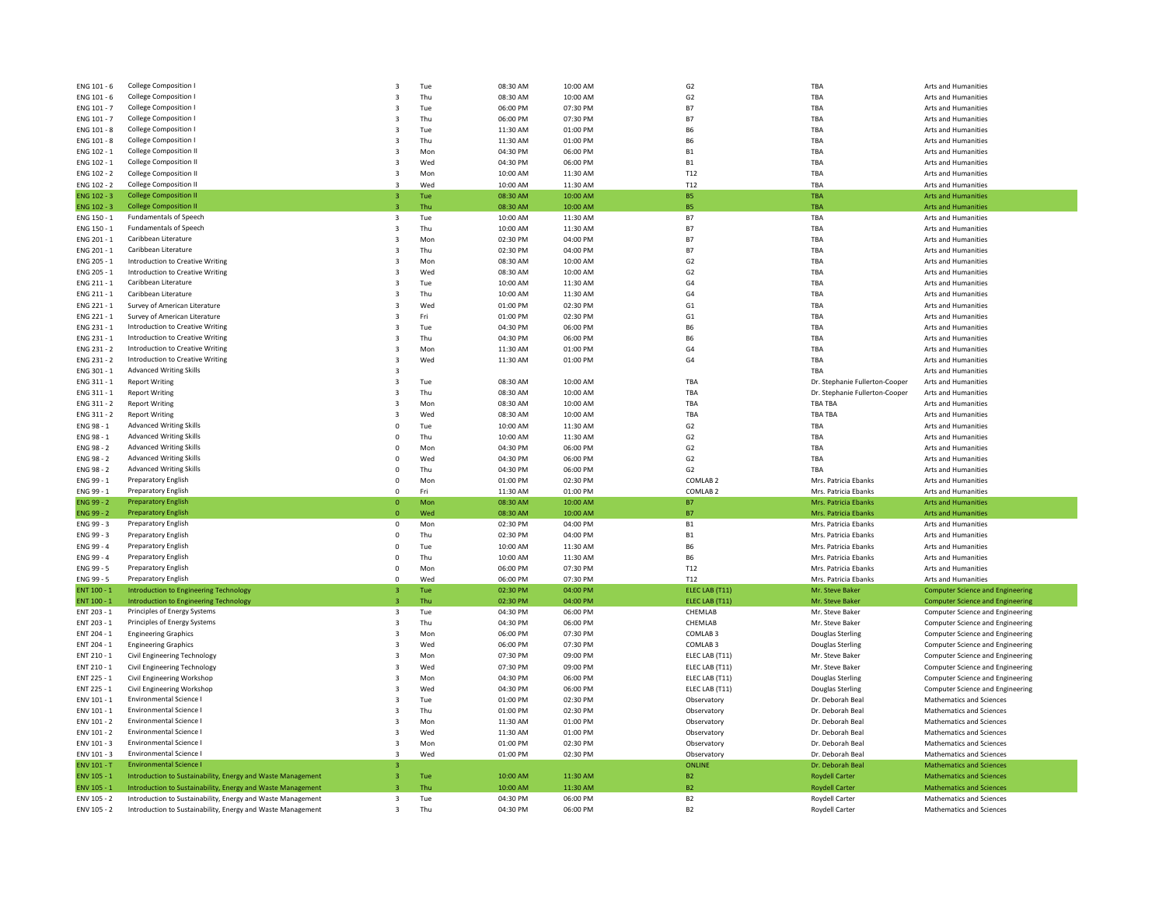| ENG 101 - 6        | College Composition I                                       | 3                       | Tue | 08:30 AM | 10:00 AM | G <sub>2</sub>      | TBA                            | Arts and Humanities                     |
|--------------------|-------------------------------------------------------------|-------------------------|-----|----------|----------|---------------------|--------------------------------|-----------------------------------------|
| ENG 101 - 6        | College Composition I                                       | 3                       | Thu | 08:30 AM | 10:00 AM | G <sub>2</sub>      | TBA                            | Arts and Humanities                     |
| ENG 101 - 7        | College Composition I                                       | 3                       | Tue | 06:00 PM | 07:30 PM | <b>B7</b>           | TBA                            | Arts and Humanities                     |
| ENG 101 - 7        | College Composition I                                       | 3                       | Thu | 06:00 PM | 07:30 PM | <b>B7</b>           | TBA                            | Arts and Humanities                     |
| ENG 101 - 8        | <b>College Composition I</b>                                | 3                       | Tue | 11:30 AM | 01:00 PM | <b>B6</b>           | TBA                            | Arts and Humanities                     |
|                    |                                                             |                         |     |          |          |                     |                                |                                         |
| ENG 101 - 8        | College Composition I                                       | 3                       | Thu | 11:30 AM | 01:00 PM | <b>B6</b>           | TBA                            | Arts and Humanities                     |
| ENG 102 - 1        | <b>College Composition II</b>                               | 3                       | Mon | 04:30 PM | 06:00 PM | <b>B1</b>           | TBA                            | Arts and Humanities                     |
| ENG 102 - 1        | College Composition II                                      | 3                       | Wed | 04:30 PM | 06:00 PM | ${\sf B1}$          | TBA                            | Arts and Humanities                     |
| ENG 102 - 2        | <b>College Composition II</b>                               | 3                       | Mon | 10:00 AM | 11:30 AM | T12                 | TBA                            | Arts and Humanities                     |
| ENG 102 - 2        | <b>College Composition II</b>                               | $\overline{3}$          | Wed | 10:00 AM | 11:30 AM | T12                 | TRA                            | Arts and Humanities                     |
| <b>ENG 102 - 3</b> | <b>College Composition II</b>                               | 3                       | Tue | 08:30 AM | 10:00 AM | <b>B5</b>           | TBA                            | <b>Arts and Humanities</b>              |
| ENG 102 - 3        | <b>College Composition II</b>                               | $\overline{3}$          | Thu | 08:30 AM | 10:00 AM | <b>B5</b>           | <b>TRA</b>                     | <b>Arts and Humanities</b>              |
| ENG 150 - 1        | Fundamentals of Speech                                      | 3                       | Tue | 10:00 AM | 11:30 AM | <b>B7</b>           | TBA                            | Arts and Humanities                     |
| ENG 150 - 1        | <b>Fundamentals of Speech</b>                               | 3                       | Thu | 10:00 AM | 11:30 AM | <b>B7</b>           | TBA                            | Arts and Humanities                     |
| ENG 201 - 1        | Caribbean Literature                                        | 3                       | Mon | 02:30 PM | 04:00 PM | <b>B7</b>           | TBA                            | Arts and Humanities                     |
| ENG 201 - 1        | Caribbean Literature                                        | 3                       | Thu | 02:30 PM | 04:00 PM | <b>B7</b>           | TBA                            | Arts and Humanities                     |
| ENG 205 - 1        | Introduction to Creative Writing                            | 3                       | Mon | 08:30 AM | 10:00 AM | G <sub>2</sub>      | TBA                            | Arts and Humanities                     |
| ENG 205 - 1        | Introduction to Creative Writing                            | 3                       | Wed | 08:30 AM | 10:00 AM | G <sub>2</sub>      | TBA                            | Arts and Humanities                     |
| ENG 211 - 1        | Caribbean Literature                                        | 3                       |     | 10:00 AM | 11:30 AM | G <sub>4</sub>      | TBA                            | Arts and Humanities                     |
|                    | Caribbean Literature                                        |                         | Tue |          |          |                     |                                |                                         |
| ENG 211 - 1        |                                                             | 3                       | Thu | 10:00 AM | 11:30 AM | G <sub>4</sub>      | TBA                            | Arts and Humanities                     |
| ENG 221 - 1        | Survey of American Literature                               | 3                       | Wed | 01:00 PM | 02:30 PM | G <sub>1</sub>      | TBA                            | Arts and Humanities                     |
| ENG 221 - 1        | Survey of American Literature                               | 3                       | Fri | 01:00 PM | 02:30 PM | G1                  | TBA                            | Arts and Humanities                     |
| ENG 231 - 1        | Introduction to Creative Writing                            | 3                       | Tue | 04:30 PM | 06:00 PM | <b>B6</b>           | TBA                            | Arts and Humanities                     |
| ENG 231 - 1        | Introduction to Creative Writing                            | 3                       | Thu | 04:30 PM | 06:00 PM | <b>B6</b>           | TBA                            | Arts and Humanities                     |
| ENG 231 - 2        | Introduction to Creative Writing                            | 3                       | Mon | 11:30 AM | 01:00 PM | G <sub>4</sub>      | TBA                            | Arts and Humanities                     |
| ENG 231 - 2        | Introduction to Creative Writing                            | 3                       | Wed | 11:30 AM | 01:00 PM | G <sub>4</sub>      | TBA                            | Arts and Humanities                     |
| ENG 301 - 1        | <b>Advanced Writing Skills</b>                              | $\overline{\mathbf{3}}$ |     |          |          |                     | TBA                            | Arts and Humanities                     |
| ENG 311 - 1        | <b>Report Writing</b>                                       | 3                       | Tue | 08:30 AM | 10:00 AM | TBA                 | Dr. Stephanie Fullerton-Cooper | Arts and Humanities                     |
| ENG 311 - 1        | <b>Report Writing</b>                                       | 3                       | Thu | 08:30 AM | 10:00 AM | TBA                 | Dr. Stephanie Fullerton-Cooper | Arts and Humanities                     |
| ENG 311 - 2        | <b>Report Writing</b>                                       | 3                       | Mon | 08:30 AM | 10:00 AM | TBA                 | <b>TBA TBA</b>                 | Arts and Humanities                     |
| ENG 311 - 2        | <b>Report Writing</b>                                       | 3                       | Wed | 08:30 AM | 10:00 AM | TBA                 | <b>TBA TBA</b>                 | Arts and Humanities                     |
| ENG 98 - 1         | <b>Advanced Writing Skills</b>                              | 0                       | Tue | 10:00 AM | 11:30 AM | G <sub>2</sub>      | TRA                            | Arts and Humanities                     |
| ENG 98 - 1         | <b>Advanced Writing Skills</b>                              | $\mathbf 0$             | Thu | 10:00 AM | 11:30 AM | G2                  | TBA                            | Arts and Humanities                     |
|                    | <b>Advanced Writing Skills</b>                              | $\Omega$                | Mon |          | 06:00 PM | G <sub>2</sub>      | TBA                            | <b>Arts and Humanities</b>              |
| ENG 98 - 2         |                                                             |                         |     | 04:30 PM |          |                     |                                |                                         |
| ENG 98 - 2         | <b>Advanced Writing Skills</b>                              | 0                       | Wed | 04:30 PM | 06:00 PM | G <sub>2</sub>      | TBA                            | Arts and Humanities                     |
| ENG 98 - 2         | <b>Advanced Writing Skills</b>                              | $\mathbf 0$             | Thu | 04:30 PM | 06:00 PM | G <sub>2</sub>      | TBA                            | Arts and Humanities                     |
| ENG 99 - 1         | Preparatory English                                         | 0                       | Mon | 01:00 PM | 02:30 PM | COMLAB <sub>2</sub> | Mrs. Patricia Ebanks           | Arts and Humanities                     |
| ENG 99 - 1         | Preparatory English                                         | $\Omega$                | Fri | 11:30 AM | 01:00 PM | COMLAB <sub>2</sub> | Mrs. Patricia Ebanks           | Arts and Humanities                     |
| ENG 99 - 2         | <b>Preparatory English</b>                                  | $\mathbf{0}$            | Mon | 08:30 AM | 10:00 AM | <b>B7</b>           | Mrs. Patricia Ebanks           | <b>Arts and Humanities</b>              |
| <b>ENG 99 - 2</b>  | <b>Preparatory English</b>                                  | $\Omega$                | Wed | 08:30 AM | 10:00 AM | B7                  | Mrs. Patricia Ebanks           | <b>Arts and Humanities</b>              |
| ENG 99 - 3         | Preparatory English                                         | $\Omega$                | Mon | 02:30 PM | 04:00 PM | ${\sf B1}$          | Mrs. Patricia Ebanks           | Arts and Humanities                     |
| ENG 99 - 3         | Preparatory English                                         | $\mathsf 0$             | Thu | 02:30 PM | 04:00 PM | <b>B1</b>           | Mrs. Patricia Ebanks           | Arts and Humanities                     |
| FNG 99 - 4         | Preparatory English                                         | $\Omega$                | Tue | 10:00 AM | 11:30 AM | <b>B6</b>           | Mrs. Patricia Ebanks           | <b>Arts and Humanities</b>              |
| ENG 99 - 4         | <b>Preparatory English</b>                                  | 0                       | Thu | 10:00 AM | 11:30 AM | <b>B6</b>           | Mrs. Patricia Ebanks           | Arts and Humanities                     |
| ENG 99 - 5         | <b>Preparatory English</b>                                  | $\mathsf 0$             | Mon | 06:00 PM | 07:30 PM | T12                 | Mrs. Patricia Ebanks           | Arts and Humanities                     |
| ENG 99 - 5         | <b>Preparatory English</b>                                  | $^{\circ}$              | Wed | 06:00 PM | 07:30 PM | T12                 | Mrs. Patricia Ebanks           | Arts and Humanities                     |
| ENT 100 - 1        | <b>Introduction to Engineering Technology</b>               | 3                       | Tue | 02:30 PM | 04:00 PM | ELEC LAB (T11)      | Mr. Steve Baker                | <b>Computer Science and Engineering</b> |
| ENT 100 - 1        | Introduction to Engineering Technology                      | 3                       | Thu | 02:30 PM | 04:00 PM | ELEC LAB (T11)      | Mr. Steve Baker                | <b>Computer Science and Engineering</b> |
| ENT 203 - 1        | Principles of Energy Systems                                | 3                       | Tue | 04:30 PM | 06:00 PM | CHEMLAB             | Mr. Steve Baker                | Computer Science and Engineering        |
| ENT 203 - 1        | Principles of Energy Systems                                | 3                       | Thu | 04:30 PM | 06:00 PM | CHEMLAB             | Mr. Steve Baker                | Computer Science and Engineering        |
| ENT 204 - 1        |                                                             | 3                       | Mon | 06:00 PM | 07:30 PM | COMLAB <sub>3</sub> |                                |                                         |
|                    | <b>Engineering Graphics</b>                                 |                         |     |          |          |                     | <b>Douglas Sterling</b>        | Computer Science and Engineering        |
| ENT 204 - 1        | <b>Engineering Graphics</b>                                 | 3                       | Wed | 06:00 PM | 07:30 PM | COMLAB <sub>3</sub> | <b>Douglas Sterling</b>        | Computer Science and Engineering        |
| ENT 210 - 1        | Civil Engineering Technology                                | 3                       | Mon | 07:30 PM | 09:00 PM | ELEC LAB (T11)      | Mr. Steve Baker                | Computer Science and Engineering        |
| ENT 210 - 1        | Civil Engineering Technology                                | 3                       | Wed | 07:30 PM | 09:00 PM | ELEC LAB (T11)      | Mr. Steve Baker                | Computer Science and Engineering        |
| ENT 225 - 1        | Civil Engineering Workshop                                  | 3                       | Mon | 04:30 PM | 06:00 PM | ELEC LAB (T11)      | <b>Douglas Sterling</b>        | Computer Science and Engineering        |
| ENT 225 - 1        | Civil Engineering Workshop                                  | $\overline{3}$          | Wed | 04:30 PM | 06:00 PM | ELEC LAB (T11)      | Douglas Sterling               | Computer Science and Engineering        |
| ENV 101 - 1        | Environmental Science                                       | 3                       | Tue | 01:00 PM | 02:30 PM | Observatory         | Dr. Deborah Beal               | Mathematics and Sciences                |
| ENV 101 - 1        | <b>Environmental Science</b>                                | $\overline{\mathbf{3}}$ | Thu | 01:00 PM | 02:30 PM | Observatory         | Dr. Deborah Beal               | Mathematics and Sciences                |
| ENV 101 - 2        | <b>Environmental Science</b>                                | 3                       | Mon | 11:30 AM | 01:00 PM | Observatory         | Dr. Deborah Beal               | Mathematics and Sciences                |
| ENV 101 - 2        | Environmental Science I                                     | $\overline{\mathbf{3}}$ | Wed | 11:30 AM | 01:00 PM | Observatory         | Dr. Deborah Beal               | Mathematics and Sciences                |
| FNV 101 - 3        | Environmental Science I                                     | $\overline{3}$          | Mon | 01:00 PM | 02:30 PM | Observatory         | Dr. Deborah Beal               | Mathematics and Sciences                |
| ENV 101 - 3        | <b>Environmental Science</b>                                | $\overline{3}$          | Wed | 01:00 PM | 02:30 PM | Observatory         | Dr. Deborah Beal               | Mathematics and Sciences                |
| ENV 101 - T        | <b>Environmental Science I</b>                              | з                       |     |          |          | <b>ONLINE</b>       | Dr. Deborah Beal               | <b>Mathematics and Sciences</b>         |
| ENV 105 - 1        | Introduction to Sustainability, Energy and Waste Management | $\overline{\mathbf{3}}$ | Tue | 10:00 AM | 11:30 AM | B <sub>2</sub>      | <b>Roydell Carter</b>          | <b>Mathematics and Sciences</b>         |
|                    |                                                             |                         |     | 10:00 AM | 11:30 AM | B <sub>2</sub>      |                                | <b>Mathematics and Sciences</b>         |
| ENV 105 - 1        | Introduction to Sustainability, Energy and Waste Management |                         | Thu |          |          | B <sub>2</sub>      | <b>Roydell Carter</b>          |                                         |
| ENV 105 - 2        | Introduction to Sustainability, Energy and Waste Management | 3                       | Tue | 04:30 PM | 06:00 PM |                     | Roydell Carter                 | Mathematics and Sciences                |
| ENV 105 - 2        | Introduction to Sustainability, Energy and Waste Management | 3                       | Thu | 04:30 PM | 06:00 PM | B <sub>2</sub>      | <b>Roydell Carter</b>          | Mathematics and Sciences                |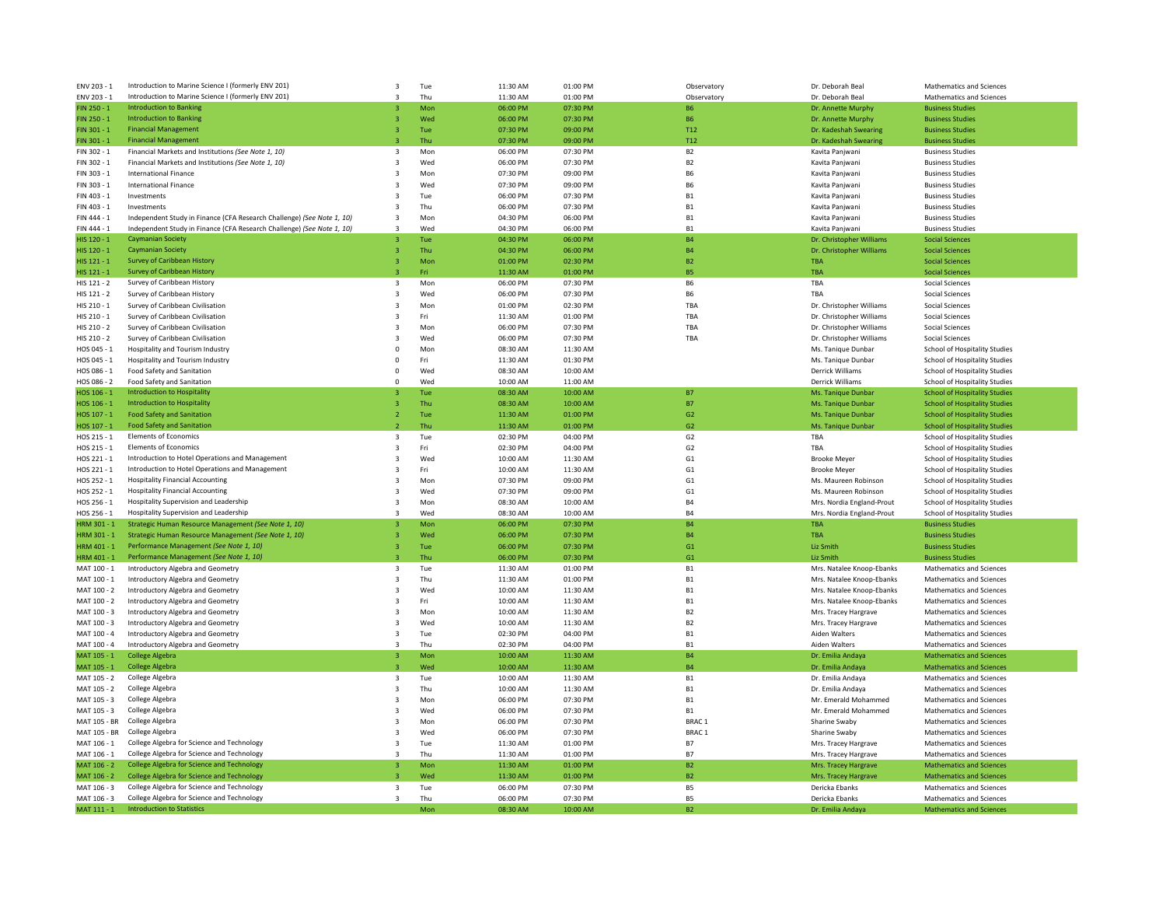| ENV 203 - 1  | Introduction to Marine Science I (formerly ENV 201)                    | 3<br>Tue                       | 11:30 AM | 01:00 PM | Observatory       | Dr. Deborah Beal          | <b>Mathematics and Sciences</b>      |
|--------------|------------------------------------------------------------------------|--------------------------------|----------|----------|-------------------|---------------------------|--------------------------------------|
| ENV 203 - 1  | Introduction to Marine Science I (formerly ENV 201)                    | Thu<br>3                       | 11:30 AM | 01:00 PM | Observatory       | Dr. Deborah Beal          | Mathematics and Sciences             |
| FIN 250 - 1  | <b>Introduction to Banking</b>                                         | Mon<br>$\mathbf{3}$            | 06:00 PM | 07:30 PM | <b>B6</b>         | Dr. Annette Murphy        | <b>Business Studies</b>              |
| FIN 250 - 1  | <b>Introduction to Banking</b>                                         | Wed<br>3                       | 06:00 PM | 07:30 PM | <b>B6</b>         | Dr. Annette Murphy        | <b>Business Studies</b>              |
| FIN 301 - 1  | <b>Financial Management</b>                                            | Tue<br>3                       | 07:30 PM | 09:00 PM | T <sub>12</sub>   | Dr. Kadeshah Swearing     | <b>Business Studies</b>              |
| FIN 301 - 1  | <b>Financial Management</b>                                            | Thu                            | 07:30 PM | 09:00 PM | T <sub>12</sub>   | Dr. Kadeshah Swearing     | <b>Business Studies</b>              |
| FIN 302 - 1  | Financial Markets and Institutions (See Note 1, 10)                    | Mon<br>3                       | 06:00 PM | 07:30 PM | B <sub>2</sub>    | Kavita Panjwani           | <b>Business Studies</b>              |
|              |                                                                        |                                |          |          |                   |                           |                                      |
| FIN 302 - 1  | Financial Markets and Institutions (See Note 1, 10)                    | 3<br>Wed                       | 06:00 PM | 07:30 PM | B <sub>2</sub>    | Kavita Panjwani           | <b>Business Studies</b>              |
| FIN 303 - 1  | <b>International Finance</b>                                           | 3<br>Mon                       | 07:30 PM | 09:00 PM | <b>B6</b>         | Kavita Panjwani           | <b>Business Studies</b>              |
| FIN 303 - 1  | <b>International Finance</b>                                           | 3<br>Wed                       | 07:30 PM | 09:00 PM | <b>B6</b>         | Kavita Panjwani           | <b>Business Studies</b>              |
| FIN 403 - 1  | Investments                                                            | $\overline{3}$<br>Tue          | 06:00 PM | 07:30 PM | B1                | Kavita Panjwani           | <b>Business Studies</b>              |
| FIN 403 - 1  | Investments                                                            | 3<br>Thu                       | 06:00 PM | 07:30 PM | B1                | Kavita Panjwani           | <b>Business Studies</b>              |
| FIN 444 - 1  | Independent Study in Finance (CFA Research Challenge) (See Note 1, 10) | 3<br>Mon                       | 04:30 PM | 06:00 PM | B1                | Kavita Panjwani           | <b>Business Studies</b>              |
| FIN 444 - 1  | Independent Study in Finance (CFA Research Challenge) (See Note 1, 10) | $\mathbf{R}$<br>Wed            | 04:30 PM | 06:00 PM | <b>B1</b>         | Kavita Panjwani           | <b>Business Studies</b>              |
| HIS 120 - 1  | <b>Caymanian Society</b>                                               | Tue<br>$\overline{3}$          | 04:30 PM | 06:00 PM | <b>B4</b>         | Dr. Christopher Williams  | <b>Social Sciences</b>               |
| HIS 120 - 1  | <b>Caymanian Society</b>                                               | $\overline{3}$<br>Thu          | 04:30 PM | 06:00 PM | <b>B4</b>         | Dr. Christopher Williams  | <b>Social Sciences</b>               |
| HIS 121 - 1  | Survey of Caribbean History                                            | Mon<br>3                       | 01:00 PM | 02:30 PM | <b>B2</b>         | <b>TBA</b>                | <b>Social Sciences</b>               |
| HIS 121 - 1  | <b>Survey of Caribbean History</b>                                     | Fri<br>$\overline{3}$          | 11:30 AM | 01:00 PM | <b>B5</b>         | <b>TBA</b>                | <b>Social Sciences</b>               |
|              |                                                                        |                                |          |          |                   |                           |                                      |
| HIS 121 - 2  | Survey of Caribbean History                                            | Mon<br>3                       | 06:00 PM | 07:30 PM | <b>B6</b>         | TBA                       | Social Sciences                      |
| HIS 121 - 2  | Survey of Caribbean History                                            | 3<br>Wed                       | 06:00 PM | 07:30 PM | <b>B6</b>         | TBA                       | Social Sciences                      |
| HIS 210 - 1  | Survey of Caribbean Civilisation                                       | 3<br>Mon                       | 01:00 PM | 02:30 PM | TBA               | Dr. Christopher Williams  | Social Sciences                      |
| HIS 210 - 1  | Survey of Caribbean Civilisation                                       | Fri<br>$\overline{3}$          | 11:30 AM | 01:00 PM | TBA               | Dr. Christopher Williams  | <b>Social Sciences</b>               |
| HIS 210 - 2  | Survey of Caribbean Civilisation                                       | 3<br>Mon                       | 06:00 PM | 07:30 PM | TBA               | Dr. Christopher Williams  | Social Sciences                      |
| HIS 210 - 2  | Survey of Caribbean Civilisation                                       | 3<br>Wed                       | 06:00 PM | 07:30 PM | TBA               | Dr. Christopher Williams  | Social Sciences                      |
| HOS 045 - 1  | Hospitality and Tourism Industry                                       | 0<br>Mon                       | 08:30 AM | 11:30 AM |                   | Ms. Tanique Dunbar        | School of Hospitality Studies        |
| HOS 045 - 1  | Hospitality and Tourism Industry                                       | $\mathbf 0$<br>Fri             | 11:30 AM | 01:30 PM |                   | Ms. Tanique Dunbar        | School of Hospitality Studies        |
| HOS 086 - 1  | Food Safety and Sanitation                                             | 0<br>Wed                       | 08:30 AM | 10:00 AM |                   | Derrick Williams          | School of Hospitality Studies        |
| HOS 086 - 2  | Food Safety and Sanitation                                             | Wed<br>0                       | 10:00 AM | 11:00 AM |                   | Derrick Williams          | School of Hospitality Studies        |
| HOS 106 - 1  | <b>Introduction to Hospitality</b>                                     | Tue<br>3                       | 08:30 AM | 10:00 AM | <b>B7</b>         | Ms. Tanique Dunbar        | <b>School of Hospitality Studies</b> |
|              | <b>Introduction to Hospitality</b>                                     |                                |          |          |                   |                           |                                      |
| HOS 106 - 1  |                                                                        | Thu<br>3                       | 08:30 AM | 10:00 AM | <b>B7</b>         | Ms. Tanique Dunbar        | <b>School of Hospitality Studies</b> |
| HOS 107 - 1  | <b>Food Safety and Sanitation</b>                                      | Tue<br>$\overline{2}$          | 11:30 AM | 01:00 PM | G <sub>2</sub>    | Ms. Tanique Dunbar        | <b>School of Hospitality Studies</b> |
| HOS 107 - 1  | <b>Food Safety and Sanitation</b>                                      | Thu                            | 11:30 AM | 01:00 PM | G <sub>2</sub>    | Ms. Tanique Dunbar        | <b>School of Hospitality Studies</b> |
| HOS 215 - 1  | <b>Elements of Economics</b>                                           | 3<br>Tue                       | 02:30 PM | 04:00 PM | G2                | TBA                       | School of Hospitality Studies        |
| HOS 215 - 1  | <b>Elements of Economics</b>                                           | 3<br>Fri                       | 02:30 PM | 04:00 PM | G <sub>2</sub>    | TBA                       | School of Hospitality Studies        |
| HOS 221 - 1  | Introduction to Hotel Operations and Management                        | Wed<br>$\overline{\mathbf{3}}$ | 10:00 AM | 11:30 AM | G1                | <b>Brooke Meyer</b>       | School of Hospitality Studies        |
| HOS 221 - 1  | Introduction to Hotel Operations and Management                        | 3<br>Fri                       | 10:00 AM | 11:30 AM | G <sub>1</sub>    | <b>Brooke Meyer</b>       | School of Hospitality Studies        |
| HOS 252 - 1  | <b>Hospitality Financial Accounting</b>                                | $\overline{3}$<br>Mon          | 07:30 PM | 09:00 PM | G <sub>1</sub>    | Ms. Maureen Robinson      | School of Hospitality Studies        |
| HOS 252 - 1  | <b>Hospitality Financial Accounting</b>                                | 3<br>Wed                       | 07:30 PM | 09:00 PM | G <sub>1</sub>    | Ms. Maureen Robinson      | School of Hospitality Studies        |
| HOS 256 - 1  | Hospitality Supervision and Leadership                                 | $\overline{3}$<br>Mon          | 08:30 AM | 10:00 AM | <b>B4</b>         | Mrs. Nordia England-Prout | School of Hospitality Studies        |
| HOS 256 - 1  | Hospitality Supervision and Leadership                                 | Wed<br>$\mathbf{3}$            | 08:30 AM | 10:00 AM | <b>B4</b>         | Mrs. Nordia England-Prout | School of Hospitality Studies        |
| HRM 301 - 1  | Strategic Human Resource Management (See Note 1, 10)                   | Mon                            | 06:00 PM | 07:30 PM | <b>B4</b>         | <b>TBA</b>                | <b>Business Studies</b>              |
|              |                                                                        |                                |          |          |                   |                           |                                      |
| HRM 301 - 1  | Strategic Human Resource Management (See Note 1, 10)                   | Wed                            | 06:00 PM | 07:30 PM | <b>B4</b>         | TBA                       | <b>Business Studies</b>              |
| HRM 401 - 1  | Performance Management (See Note 1, 10)                                | Tue<br>$\mathbf{3}$            | 06:00 PM | 07:30 PM | G1                | <b>Liz Smith</b>          | <b>Business Studies</b>              |
| HRM 401 - 1  | Performance Management (See Note 1, 10)                                | Thu                            | 06:00 PM | 07:30 PM | G1                | Liz Smith                 | <b>Business Studies</b>              |
| MAT 100 - 1  | Introductory Algebra and Geometry                                      | Tue<br>3                       | 11:30 AM | 01:00 PM | <b>B1</b>         | Mrs. Natalee Knoop-Ebanks | Mathematics and Sciences             |
| MAT 100 - 1  | Introductory Algebra and Geometry                                      | 3<br>Thu                       | 11:30 AM | 01:00 PM | B1                | Mrs. Natalee Knoop-Ebanks | Mathematics and Sciences             |
| MAT 100 - 2  | Introductory Algebra and Geometry                                      | 3<br>Wed                       | 10:00 AM | 11:30 AM | <b>B1</b>         | Mrs. Natalee Knoop-Ebanks | Mathematics and Sciences             |
| MAT 100 - 2  | Introductory Algebra and Geometry                                      | Fri<br>3                       | 10:00 AM | 11:30 AM | <b>B1</b>         | Mrs. Natalee Knoop-Ebanks | <b>Mathematics and Sciences</b>      |
| MAT 100 - 3  | Introductory Algebra and Geometry                                      | 3<br>Mon                       | 10:00 AM | 11:30 AM | B <sub>2</sub>    | Mrs. Tracey Hargrave      | Mathematics and Sciences             |
| MAT 100 - 3  | Introductory Algebra and Geometry                                      | Wed<br>3                       | 10:00 AM | 11:30 AM | B <sub>2</sub>    | Mrs. Tracey Hargrave      | Mathematics and Sciences             |
|              |                                                                        | 3                              |          | 04:00 PM | B1                |                           |                                      |
| MAT 100 - 4  | Introductory Algebra and Geometry                                      | Tue<br>$\mathbf{R}$            | 02:30 PM |          |                   | Aiden Walters             | Mathematics and Sciences             |
| MAT 100 - 4  | Introductory Algebra and Geometry                                      | Thu                            | 02:30 PM | 04:00 PM | B1                | Aiden Walters             | Mathematics and Sciences             |
| MAT 105 - 1  | College Algebra                                                        | Mon<br>3                       | 10:00 AM | 11:30 AM | <b>B4</b>         | Dr. Emilia Andaya         | <b>Mathematics and Sciences</b>      |
| MAT 105 - 1  | <b>College Algebra</b>                                                 | Wed<br>$\overline{3}$          | 10:00 AM | 11:30 AM | <b>B4</b>         | Dr. Emilia Andava         | <b>Mathematics and Sciences</b>      |
| MAT 105 - 2  | College Algebra                                                        | 3<br>Tue                       | 10:00 AM | 11:30 AM | B1                | Dr. Emilia Andaya         | Mathematics and Sciences             |
| MAT 105 - 2  | College Algebra                                                        | Thu<br>$\overline{\mathbf{3}}$ | 10:00 AM | 11:30 AM | <b>B1</b>         | Dr. Emilia Andaya         | Mathematics and Sciences             |
| MAT 105 - 3  | College Algebra                                                        | 3<br>Mon                       | 06:00 PM | 07:30 PM | B1                | Mr. Emerald Mohammed      | Mathematics and Sciences             |
| MAT 105 - 3  | College Algebra                                                        | 3<br>Wed                       | 06:00 PM | 07:30 PM | <b>B1</b>         | Mr. Emerald Mohammed      | Mathematics and Sciences             |
| MAT 105 - BR | College Algebra                                                        | 3<br>Mon                       | 06:00 PM | 07:30 PM | BRAC <sub>1</sub> | Sharine Swaby             | Mathematics and Sciences             |
| MAT 105 - BR | College Algebra                                                        | 3<br>Wed                       | 06:00 PM | 07:30 PM | BRAC <sub>1</sub> | Sharine Swaby             | Mathematics and Sciences             |
| MAT 106 - 1  | College Algebra for Science and Technology                             | 3<br>Tue                       | 11:30 AM | 01:00 PM | <b>B7</b>         | Mrs. Tracey Hargrave      | Mathematics and Sciences             |
|              | College Algebra for Science and Technology                             | $\overline{\mathbf{3}}$        |          |          |                   |                           |                                      |
| MAT 106 - 1  |                                                                        | Thu                            | 11:30 AM | 01:00 PM | <b>B7</b>         | Mrs. Tracey Hargrave      | Mathematics and Sciences             |
| MAT 106 - 2  | College Algebra for Science and Technology                             | Mon<br>3                       | 11:30 AM | 01:00 PM | <b>B2</b>         | Mrs. Tracey Hargrave      | <b>Mathematics and Sciences</b>      |
| MAT 106 - 2  | College Algebra for Science and Technology                             | Wed                            | 11:30 AM | 01:00 PM | B <sub>2</sub>    | Mrs. Tracey Hargrave      | <b>Mathematics and Sciences</b>      |
| MAT 106 - 3  | College Algebra for Science and Technology                             | 3<br>Tue                       | 06:00 PM | 07:30 PM | B <sub>5</sub>    | Dericka Ebanks            | Mathematics and Sciences             |
| MAT 106 - 3  | College Algebra for Science and Technology                             | Thu<br>3                       | 06:00 PM | 07:30 PM | <b>B5</b>         | Dericka Ebanks            | Mathematics and Sciences             |
| MAT 111 - 1  | <b>Introduction to Statistics</b>                                      | Mon                            | 08:30 AM | 10:00 AM | B <sub>2</sub>    | Dr. Emilia Andaya         | <b>Mathematics and Sciences</b>      |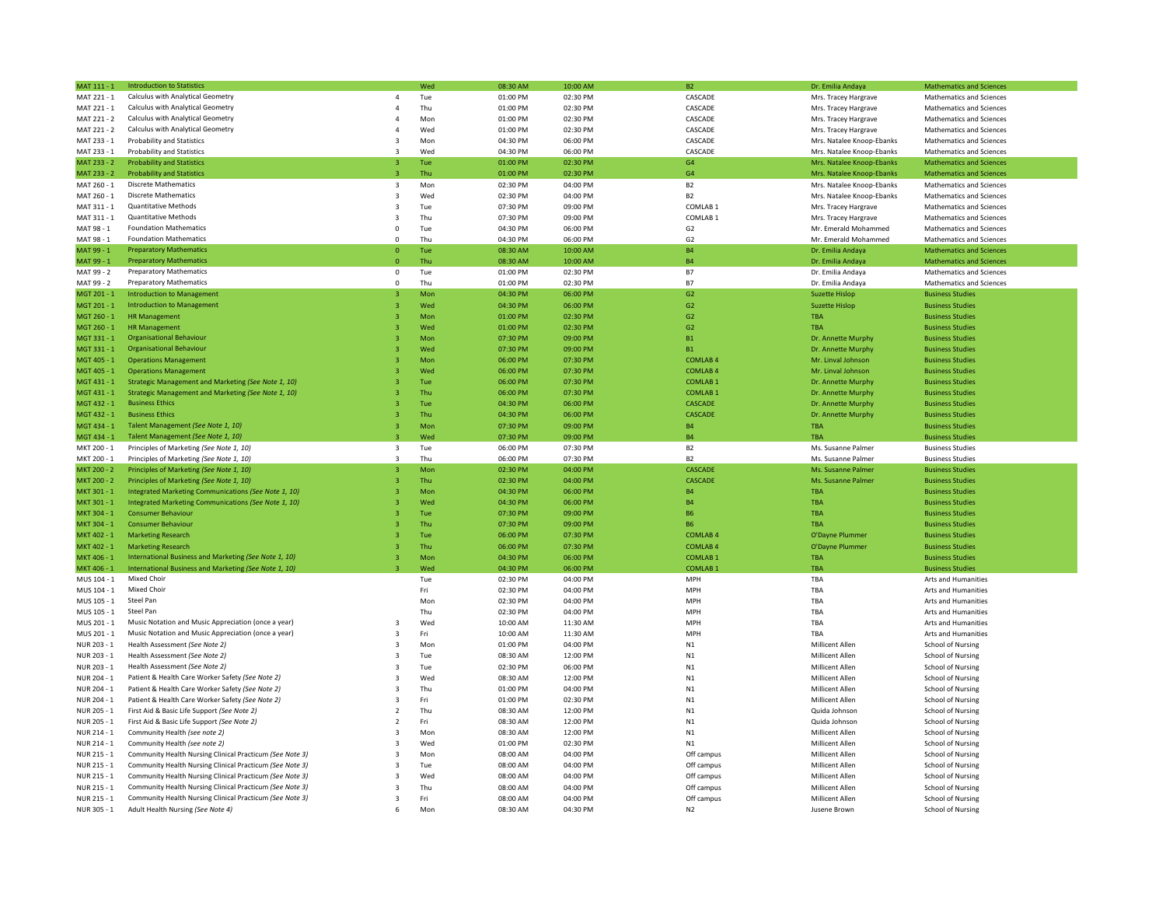| MAT 111 - 1 | <b>Introduction to Statistics</b>                        |                          | Wed | 08:30 AM | 10:00 AM | <b>B2</b>           | Dr. Emilia Andaya         | <b>Mathematics and Sciences</b> |
|-------------|----------------------------------------------------------|--------------------------|-----|----------|----------|---------------------|---------------------------|---------------------------------|
| MAT 221 - 1 | Calculus with Analytical Geometry                        | $\overline{4}$           | Tue | 01:00 PM | 02:30 PM | CASCADE             | Mrs. Tracey Hargrave      | Mathematics and Sciences        |
| MAT 221 - 1 | Calculus with Analytical Geometry                        | $\overline{4}$           | Thu | 01:00 PM | 02:30 PM | CASCADE             | Mrs. Tracey Hargrave      | Mathematics and Sciences        |
| MAT 221 - 2 | Calculus with Analytical Geometry                        | $\overline{4}$           | Mon | 01:00 PM | 02:30 PM | CASCADE             | Mrs. Tracey Hargrave      | Mathematics and Sciences        |
| MAT 221 - 2 | Calculus with Analytical Geometry                        | $\Delta$                 | Wed | 01:00 PM | 02:30 PM | CASCADE             | Mrs. Tracey Hargrave      | Mathematics and Sciences        |
| MAT 233 - 1 | <b>Probability and Statistics</b>                        | $\overline{3}$           | Mon | 04:30 PM | 06:00 PM | CASCADE             | Mrs. Natalee Knoop-Ebanks | Mathematics and Sciences        |
| MAT 233 - 1 | <b>Probability and Statistics</b>                        | २                        | Wed | 04:30 PM | 06:00 PM | CASCADE             | Mrs. Natalee Knoop-Ebanks | Mathematics and Sciences        |
| MAT 233 - 2 | <b>Probability and Statistics</b>                        | $\overline{3}$           | Tue | 01:00 PM | 02:30 PM | G4                  | Mrs. Natalee Knoop-Ebanks | <b>Mathematics and Sciences</b> |
| MAT 233 - 2 | <b>Probability and Statistics</b>                        | $\overline{\mathbf{3}}$  | Thu | 01:00 PM | 02:30 PM | G <sub>4</sub>      | Mrs. Natalee Knoop-Ebanks | <b>Mathematics and Sciences</b> |
| MAT 260 - 1 | <b>Discrete Mathematics</b>                              | 3                        | Mon | 02:30 PM | 04:00 PM | B <sub>2</sub>      | Mrs. Natalee Knoop-Ebanks | Mathematics and Sciences        |
| MAT 260 - 1 | <b>Discrete Mathematics</b>                              | 3                        | Wed | 02:30 PM | 04:00 PM | <b>B2</b>           | Mrs. Natalee Knoop-Ebanks | Mathematics and Sciences        |
|             |                                                          |                          |     |          |          |                     |                           |                                 |
| MAT 311 - 1 | <b>Quantitative Methods</b>                              | 3                        | Tue | 07:30 PM | 09:00 PM | COMLAB <sub>1</sub> | Mrs. Tracey Hargrave      | Mathematics and Sciences        |
| MAT 311 - 1 | <b>Quantitative Methods</b>                              | 3                        | Thu | 07:30 PM | 09:00 PM | COMLAB <sub>1</sub> | Mrs. Tracey Hargrave      | Mathematics and Sciences        |
| MAT 98 - 1  | <b>Foundation Mathematics</b>                            | 0                        | Tue | 04:30 PM | 06:00 PM | G <sub>2</sub>      | Mr. Emerald Mohammed      | Mathematics and Sciences        |
| MAT 98 - 1  | <b>Foundation Mathematics</b>                            | $\Omega$                 | Thu | 04:30 PM | 06:00 PM | G2                  | Mr. Emerald Mohammed      | Mathematics and Sciences        |
| MAT 99 - 1  | <b>Preparatory Mathematics</b>                           | $\mathbf{0}$             | Tue | 08:30 AM | 10:00 AM | <b>B4</b>           | Dr. Emilia Andaya         | <b>Mathematics and Sciences</b> |
| MAT 99 - 1  | <b>Preparatory Mathematics</b>                           | $\mathbf{0}$             | Thu | 08:30 AM | 10:00 AM | <b>B4</b>           | Dr. Emilia Andaya         | <b>Mathematics and Sciences</b> |
| MAT 99 - 2  | <b>Preparatory Mathematics</b>                           | $^{\circ}$               | Tue | 01:00 PM | 02:30 PM | <b>B7</b>           | Dr. Emilia Andaya         | Mathematics and Sciences        |
| MAT 99 - 2  | <b>Preparatory Mathematics</b>                           | $^{\circ}$               | Thu | 01:00 PM | 02:30 PM | <b>B7</b>           | Dr. Emilia Andaya         | <b>Mathematics and Sciences</b> |
| MGT 201 - 1 | <b>Introduction to Management</b>                        | 3                        | Mon | 04:30 PM | 06:00 PM | G2                  | <b>Suzette Hislop</b>     | <b>Business Studies</b>         |
| MGT 201 - 1 | <b>Introduction to Management</b>                        |                          | Wed | 04:30 PM | 06:00 PM | G2                  | <b>Suzette Hislop</b>     | <b>Business Studies</b>         |
| MGT 260 - 1 | <b>HR Management</b>                                     |                          | Mon | 01:00 PM | 02:30 PM | G <sub>2</sub>      | <b>TRA</b>                | <b>Business Studies</b>         |
| MGT 260 - 1 | <b>HR Management</b>                                     |                          | Wed | 01:00 PM | 02:30 PM | G2                  | <b>TBA</b>                | <b>Business Studies</b>         |
| MGT 331 - 1 | <b>Organisational Behaviour</b>                          |                          | Mon | 07:30 PM | 09:00 PM | <b>B1</b>           | Dr. Annette Murphy        | <b>Business Studies</b>         |
| MGT 331 - 1 | <b>Organisational Behaviour</b>                          |                          | Wed | 07:30 PM | 09:00 PM | B1                  | Dr. Annette Murphy        | <b>Business Studies</b>         |
| MGT 405 - 1 | <b>Operations Management</b>                             |                          | Mon | 06:00 PM | 07:30 PM | <b>COMLAB4</b>      | Mr. Linval Johnson        | <b>Business Studies</b>         |
| MGT 405 - 1 | <b>Operations Management</b>                             |                          | Wed | 06:00 PM | 07:30 PM | <b>COMLAB4</b>      | Mr. Linval Johnson        | <b>Business Studies</b>         |
| MGT 431 - 1 | Strategic Management and Marketing (See Note 1, 10)      |                          | Tue | 06:00 PM | 07:30 PM | <b>COMLAB1</b>      | Dr. Annette Murphy        | <b>Business Studies</b>         |
| MGT 431 - 1 | Strategic Management and Marketing (See Note 1, 10)      |                          | Thu | 06:00 PM | 07:30 PM | <b>COMLAB1</b>      | Dr. Annette Murphy        | <b>Business Studies</b>         |
| MGT 432 - 1 | <b>Business Ethics</b>                                   |                          | Tue | 04:30 PM | 06:00 PM | CASCADE             | Dr. Annette Murphy        | <b>Business Studies</b>         |
| MGT 432 - 1 | <b>Business Ethics</b>                                   |                          | Thu | 04:30 PM | 06:00 PM | CASCADE             |                           |                                 |
|             |                                                          |                          |     |          |          |                     | Dr. Annette Murphy        | <b>Business Studies</b>         |
| MGT 434 - 1 | Talent Management (See Note 1, 10)                       |                          | Mon | 07:30 PM | 09:00 PM | <b>B4</b>           | <b>TBA</b>                | <b>Business Studies</b>         |
| MGT 434 - 1 | Talent Management (See Note 1, 10)                       |                          | Wed | 07:30 PM | 09:00 PM | <b>B4</b>           | <b>TRA</b>                | <b>Business Studies</b>         |
| MKT 200 - 1 | Principles of Marketing (See Note 1, 10)                 | $\overline{\mathbf{3}}$  | Tue | 06:00 PM | 07:30 PM | B <sub>2</sub>      | Ms. Susanne Palmer        | <b>Business Studies</b>         |
| MKT 200 - 1 | Principles of Marketing (See Note 1, 10)                 | $\overline{3}$           | Thu | 06:00 PM | 07:30 PM | <b>B2</b>           | Ms. Susanne Palmer        | <b>Business Studies</b>         |
| MKT 200 - 2 | Principles of Marketing (See Note 1, 10)                 | $\overline{3}$           | Mon | 02:30 PM | 04:00 PM | CASCADE             | Ms. Susanne Palmer        | <b>Business Studies</b>         |
| MKT 200 - 2 | Principles of Marketing (See Note 1, 10)                 | $\overline{3}$           | Thu | 02:30 PM | 04:00 PM | CASCADE             | Ms. Susanne Palmer        | <b>Business Studies</b>         |
| MKT 301 - 1 | Integrated Marketing Communications (See Note 1, 10)     |                          | Mon | 04:30 PM | 06:00 PM | <b>B4</b>           | <b>TRA</b>                | <b>Business Studies</b>         |
| MKT 301 - 1 | Integrated Marketing Communications (See Note 1, 10)     |                          | Wed | 04:30 PM | 06:00 PM | <b>B4</b>           | TBA                       | <b>Business Studies</b>         |
| MKT 304 - 1 | <b>Consumer Behaviour</b>                                |                          | Tue | 07:30 PM | 09:00 PM | <b>B6</b>           | <b>TBA</b>                | <b>Business Studies</b>         |
| MKT 304 - 1 | <b>Consumer Behaviour</b>                                |                          | Thu | 07:30 PM | 09:00 PM | <b>B6</b>           | <b>TBA</b>                | <b>Business Studies</b>         |
| MKT 402 - 1 | <b>Marketing Research</b>                                |                          | Tue | 06:00 PM | 07:30 PM | <b>COMLAB4</b>      | O'Dayne Plummer           | <b>Business Studies</b>         |
| MKT 402 - 1 | <b>Marketing Research</b>                                |                          | Thu | 06:00 PM | 07:30 PM | <b>COMLAB4</b>      | O'Dayne Plummer           | <b>Business Studies</b>         |
| MKT 406 - 1 | International Business and Marketing (See Note 1, 10)    | -3                       | Mon | 04:30 PM | 06:00 PM | <b>COMLAB1</b>      | <b>TBA</b>                | <b>Business Studies</b>         |
| MKT 406 - 1 | International Business and Marketing (See Note 1, 10)    |                          | Wed | 04:30 PM | 06:00 PM | <b>COMLAB</b>       | <b>TBA</b>                | <b>Business Studies</b>         |
| MUS 104 - 1 | Mixed Choir                                              |                          | Tue | 02:30 PM | 04:00 PM | MPH                 | TBA                       | Arts and Humanities             |
| MUS 104 - 1 | Mixed Choir                                              |                          | Fri | 02:30 PM | 04:00 PM | MPH                 | TBA                       | Arts and Humanities             |
| MUS 105 - 1 | Steel Pan                                                |                          | Mon | 02:30 PM | 04:00 PM | MPH                 | TBA                       | Arts and Humanities             |
| MUS 105 - 1 | Steel Pan                                                |                          | Thu | 02:30 PM | 04:00 PM | <b>MPH</b>          | TRA                       | Arts and Humanities             |
| MUS 201 - 1 | Music Notation and Music Appreciation (once a year)      | $\overline{\mathbf{3}}$  | Wed | 10:00 AM | 11:30 AM | MPH                 | TBA                       | Arts and Humanities             |
| MUS 201 - 1 | Music Notation and Music Appreciation (once a year)      | $\mathbf{3}$             | Fri | 10:00 AM | 11:30 AM | MPH                 | TRA                       | Arts and Humanities             |
|             |                                                          |                          |     |          |          |                     |                           |                                 |
| NUR 203 - 1 | Health Assessment (See Note 2)                           | 3                        | Mon | 01:00 PM | 04:00 PM | N1                  | Millicent Allen           | School of Nursing               |
| NUR 203 - 1 | Health Assessment (See Note 2)                           | $\overline{3}$           | Tue | 08:30 AM | 12:00 PM | N1                  | Millicent Allen           | School of Nursing               |
| NUR 203 - 1 | Health Assessment (See Note 2)                           | 3                        | Tue | 02:30 PM | 06:00 PM | N1                  | Millicent Allen           | School of Nursing               |
| NUR 204 - 1 | Patient & Health Care Worker Safety (See Note 2)         | 3                        | Wed | 08:30 AM | 12:00 PM | N1                  | Millicent Allen           | School of Nursing               |
| NUR 204 - 1 | Patient & Health Care Worker Safety (See Note 2)         | 3                        | Thu | 01:00 PM | 04:00 PM | N1                  | Millicent Allen           | School of Nursing               |
| NUR 204 - 1 | Patient & Health Care Worker Safety (See Note 2)         | $\overline{3}$           | Fri | 01:00 PM | 02:30 PM | N1                  | Millicent Allen           | School of Nursing               |
| NUR 205 - 1 | First Aid & Basic Life Support (See Note 2)              | $\overline{\phantom{a}}$ | Thu | 08:30 AM | 12:00 PM | N1                  | Quida Johnson             | School of Nursing               |
| NUR 205 - 1 | First Aid & Basic Life Support (See Note 2)              | $\mathcal{P}$            | Fri | 08:30 AM | 12:00 PM | N1                  | Quida Johnson             | School of Nursing               |
| NUR 214 - 1 | Community Health (see note 2)                            | ्र                       | Mon | 08:30 AM | 12:00 PM | N1                  | Millicent Allen           | School of Nursing               |
| NUR 214 - 1 | Community Health (see note 2)                            | $\overline{3}$           | Wed | 01:00 PM | 02:30 PM | N1                  | Millicent Allen           | School of Nursing               |
| NUR 215 - 1 | Community Health Nursing Clinical Practicum (See Note 3) | $\overline{\mathbf{z}}$  | Mon | 08:00 AM | 04:00 PM | Off campus          | Millicent Allen           | School of Nursing               |
| NUR 215 - 1 | Community Health Nursing Clinical Practicum (See Note 3) | $\overline{3}$           | Tue | 08:00 AM | 04:00 PM | Off campus          | Millicent Allen           | School of Nursing               |
| NUR 215 - 1 | Community Health Nursing Clinical Practicum (See Note 3) | $\overline{3}$           | Wed | 08:00 AM | 04:00 PM | Off campus          | Millicent Allen           | School of Nursing               |
| NUR 215 - 1 | Community Health Nursing Clinical Practicum (See Note 3) | $\overline{3}$           | Thu | 08:00 AM | 04:00 PM | Off campus          | Millicent Allen           | School of Nursing               |
| NUR 215 - 1 | Community Health Nursing Clinical Practicum (See Note 3) | $\overline{3}$           | Fri | 08:00 AM | 04:00 PM | Off campus          | Millicent Allen           | <b>School of Nursing</b>        |
| NUR 305 - 1 | Adult Health Nursing (See Note 4)                        | 6                        | Mon | 08:30 AM | 04:30 PM | N2                  | Jusene Brown              | School of Nursing               |
|             |                                                          |                          |     |          |          |                     |                           |                                 |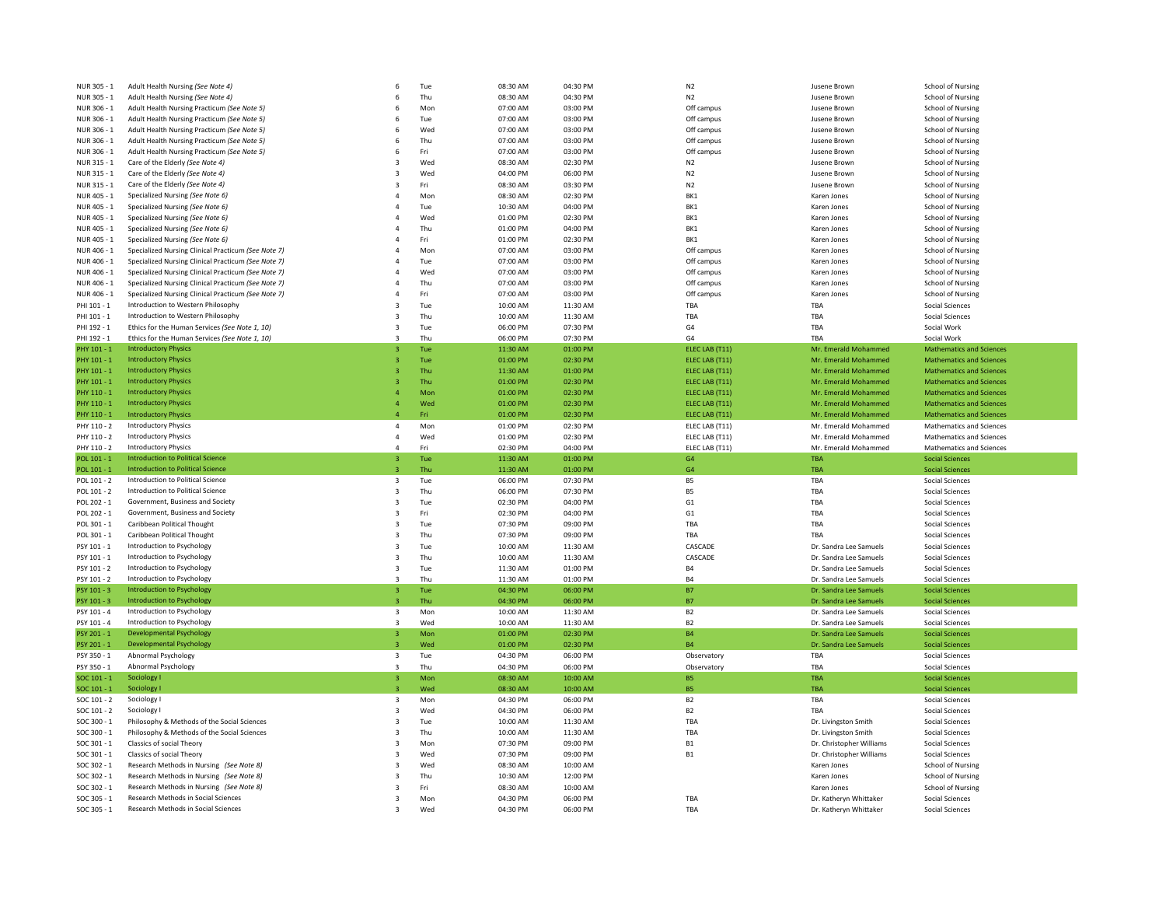| NUR 305 - 1                | Adult Health Nursing (See Note 4)                                          | 6                       | Tue        | 08:30 AM             | 04:30 PM             | N <sub>2</sub> | Jusene Brown                                     | <b>School of Nursing</b>                  |
|----------------------------|----------------------------------------------------------------------------|-------------------------|------------|----------------------|----------------------|----------------|--------------------------------------------------|-------------------------------------------|
| NUR 305 - 1                | Adult Health Nursing (See Note 4)                                          | 6                       | Thu        | 08:30 AM             | 04:30 PM             | N <sub>2</sub> | Jusene Browr                                     | School of Nursing                         |
| NUR 306 - 1                | Adult Health Nursing Practicum (See Note 5)                                | 6                       | Mon        | 07:00 AM             | 03:00 PM             | Off campus     | Jusene Brown                                     | <b>School of Nursing</b>                  |
| NUR 306 - 1                | Adult Health Nursing Practicum (See Note 5)                                | 6                       | Tue        | 07:00 AM             | 03:00 PM             | Off campus     | Jusene Brown                                     | School of Nursing                         |
| NUR 306 - 1                | Adult Health Nursing Practicum (See Note 5)                                | 6                       | Wed        | 07:00 AM             | 03:00 PM             | Off campus     | Jusene Brown                                     | <b>School of Nursing</b>                  |
|                            |                                                                            |                         | Thu        | 07:00 AM             | 03:00 PM             |                |                                                  |                                           |
| NUR 306 - 1                | Adult Health Nursing Practicum (See Note 5)                                | 6                       |            |                      |                      | Off campus     | Jusene Brown                                     | School of Nursing                         |
| NUR 306 - 1                | Adult Health Nursing Practicum (See Note 5)                                | 6                       | Fri        | 07:00 AM             | 03:00 PM             | Off campus     | Jusene Brown                                     | <b>School of Nursing</b>                  |
| NUR 315 - 1                | Care of the Elderly (See Note 4)                                           | 3                       | Wed        | 08:30 AM             | 02:30 PM             | N <sub>2</sub> | Jusene Brown                                     | School of Nursing                         |
| NUR 315 - 1                | Care of the Elderly (See Note 4)                                           | 3                       | Wed        | 04:00 PM             | 06:00 PM             | N <sub>2</sub> | Jusene Brown                                     | School of Nursing                         |
| NUR 315 - 1                | Care of the Elderly (See Note 4)                                           | 3                       | Fri        | 08:30 AM             | 03:30 PM             | N <sub>2</sub> | Jusene Brown                                     | School of Nursing                         |
| NUR 405 - 1                | Specialized Nursing (See Note 6)                                           | 4                       | Mon        | 08:30 AM             | 02:30 PM             | BK1            | Karen Jones                                      | School of Nursing                         |
| NUR 405 - 1                | Specialized Nursing (See Note 6)                                           | $\overline{a}$          | Tue        | 10:30 AM             | 04:00 PM             | BK1            | Karen Jones                                      | School of Nursing                         |
| NUR 405 - 1                | Specialized Nursing (See Note 6)                                           | $\overline{a}$          | Wed        | 01:00 PM             | 02:30 PM             | BK1            | Karen Jones                                      | School of Nursing                         |
| NUR 405 - 1                | Specialized Nursing (See Note 6)                                           | $\overline{a}$          | Thu        | 01:00 PM             | 04:00 PM             | BK1            | Karen Jones                                      | School of Nursing                         |
| NUR 405 - 1                | Specialized Nursing (See Note 6)                                           | $\Delta$                | Fri        | 01:00 PM             | 02:30 PM             | BK1            | Karen Jones                                      | <b>School of Nursing</b>                  |
| NUR 406 - 1                | Specialized Nursing Clinical Practicum (See Note 7)                        | $\overline{4}$          | Mon        | 07:00 AM             | 03:00 PM             | Off campus     | Karen Jones                                      | <b>School of Nursing</b>                  |
| NUR 406 - 1                | Specialized Nursing Clinical Practicum (See Note 7)                        | $\overline{a}$          | Tue        | 07:00 AM             | 03:00 PM             | Off campus     | Karen Jones                                      | <b>School of Nursing</b>                  |
| NUR 406 - 1                | Specialized Nursing Clinical Practicum (See Note 7)                        | $\overline{a}$          | Wed        | 07:00 AM             | 03:00 PM             | Off campus     | Karen Jones                                      | <b>School of Nursing</b>                  |
| NUR 406 - 1                | Specialized Nursing Clinical Practicum (See Note 7)                        | $\overline{4}$          | Thu        | 07:00 AM             | 03:00 PM             | Off campus     | Karen Jones                                      | School of Nursing                         |
|                            |                                                                            |                         |            |                      |                      |                |                                                  |                                           |
| NUR 406 - 1                | Specialized Nursing Clinical Practicum (See Note 7)                        | $\overline{4}$          | Fri        | 07:00 AM             | 03:00 PM             | Off campus     | Karen Jones                                      | School of Nursing                         |
| PHI 101 - 1                | Introduction to Western Philosophy                                         | 3                       | Tue        | 10:00 AM             | 11:30 AM             | TBA            | TBA                                              | Social Sciences                           |
| PHI 101 - 1                | Introduction to Western Philosophy                                         | 3                       | Thu        | 10:00 AM             | 11:30 AM             | TBA            | TBA                                              | Social Sciences                           |
| PHI 192 - 1                | Ethics for the Human Services (See Note 1, 10)                             | 3                       | Tue        | 06:00 PM             | 07:30 PM             | G <sub>4</sub> | TBA                                              | Social Work                               |
| PHI 192 - 1                | Ethics for the Human Services (See Note 1, 10)                             | 3                       | Thu        | 06:00 PM             | 07:30 PM             | G4             | TRA                                              | Social Work                               |
| PHY 101 - 1                | <b>Introductory Physics</b>                                                | $\overline{3}$          | Tue        | 11:30 AM             | 01:00 PM             | ELEC LAB (T11) | Mr. Emerald Mohammed                             | <b>Mathematics and Sciences</b>           |
| PHY 101 - 1                | <b>Introductory Physics</b>                                                | $\overline{\mathbf{3}}$ | Tue        | 01:00 PM             | 02:30 PM             | ELEC LAB (T11) | Mr. Emerald Mohammed                             | <b>Mathematics and Sciences</b>           |
| PHY 101 - 1                | <b>Introductory Physics</b>                                                | 3                       | Thu        | 11:30 AM             | 01:00 PM             | ELEC LAB (T11) | Mr. Emerald Mohammed                             | <b>Mathematics and Sciences</b>           |
| PHY 101 - 1                | <b>Introductory Physics</b>                                                | $\overline{3}$          | Thu        | 01:00 PM             | 02:30 PM             | ELEC LAB (T11) | Mr. Emerald Mohammed                             | <b>Mathematics and Sciences</b>           |
| PHY 110 - 1                | <b>Introductory Physics</b>                                                |                         | Mon        | 01:00 PM             | 02:30 PM             | ELEC LAB (T11) | Mr. Emerald Mohammed                             | <b>Mathematics and Sciences</b>           |
| PHY 110 - 1                | <b>Introductory Physics</b>                                                | $\overline{a}$          | Wed        | 01:00 PM             | 02:30 PM             | ELEC LAB (T11) | Mr. Emerald Mohammed                             | <b>Mathematics and Sciences</b>           |
| PHY 110 - 1                | <b>Introductory Physics</b>                                                | $\overline{a}$          | Fri        | 01:00 PM             | 02:30 PM             | ELEC LAB (T11) | Mr. Emerald Mohammed                             | <b>Mathematics and Sciences</b>           |
| PHY 110 - 2                | <b>Introductory Physics</b>                                                | 4                       | Mon        | 01:00 PM             | 02:30 PM             | ELEC LAB (T11) | Mr. Emerald Mohammed                             | Mathematics and Sciences                  |
| PHY 110 - 2                | <b>Introductory Physics</b>                                                | 4                       | Wed        | 01:00 PM             | 02:30 PM             | ELEC LAB (T11) | Mr. Emerald Mohammed                             | Mathematics and Sciences                  |
|                            | <b>Introductory Physics</b>                                                | $\overline{a}$          | Fri        |                      |                      |                |                                                  |                                           |
|                            |                                                                            |                         |            |                      |                      |                |                                                  |                                           |
| PHY 110 - 2                |                                                                            |                         |            | 02:30 PM             | 04:00 PM             | ELEC LAB (T11) | Mr. Emerald Mohammed                             | Mathematics and Sciences                  |
| POI 101 - 1                | <b>Introduction to Political Science</b>                                   | 3.                      | Tue        | 11:30 AM             | 01:00 PM             | G4             | <b>TRA</b>                                       | <b>Social Sciences</b>                    |
| POL 101 - 1                | <b>Introduction to Political Science</b>                                   | 3                       | Thu        | 11:30 AM             | 01:00 PM             | G <sub>4</sub> | TBA                                              | <b>Social Sciences</b>                    |
| POL 101 - 2                | Introduction to Political Science                                          | 3                       | Tue        | 06:00 PM             | 07:30 PM             | <b>B5</b>      | TBA                                              | <b>Social Sciences</b>                    |
| POL 101 - 2                | Introduction to Political Science                                          | 3                       | Thu        | 06:00 PM             | 07:30 PM             | B <sub>5</sub> | TBA                                              | Social Sciences                           |
| POL 202 - 1                | Government, Business and Society                                           | 3                       | Tue        | 02:30 PM             | 04:00 PM             | G <sub>1</sub> | TBA                                              | Social Sciences                           |
| POL 202 - 1                | Government, Business and Society                                           | 3                       | Fri        | 02:30 PM             | 04:00 PM             | G <sub>1</sub> | TBA                                              | Social Sciences                           |
| POL 301 - 1                | Caribbean Political Thought                                                | 3                       | Tue        | 07:30 PM             | 09:00 PM             | TBA            | TBA                                              | Social Sciences                           |
| POL 301 - 1                | Caribbean Political Thought                                                | 3                       | Thu        | 07:30 PM             | 09:00 PM             | TBA            | TRA                                              | Social Sciences                           |
| PSY 101 - 1                | Introduction to Psychology                                                 | 3                       |            | 10:00 AM             | 11:30 AM             | CASCADE        |                                                  |                                           |
| PSY 101 - 1                | Introduction to Psychology                                                 | 3                       | Tue<br>Thu |                      |                      |                | Dr. Sandra Lee Samuels<br>Dr. Sandra Lee Samuels | Social Sciences                           |
|                            |                                                                            |                         |            | 10:00 AM             | 11:30 AM             | CASCADE        |                                                  | Social Sciences                           |
| PSY 101 - 2                | Introduction to Psychology                                                 | 3                       | Tue        | 11:30 AM             | 01:00 PM             | <b>B4</b>      | Dr. Sandra Lee Samuels                           | <b>Social Sciences</b>                    |
| PSY 101 - 2                | Introduction to Psychology                                                 | $\overline{3}$          | Thu        | 11:30 AM             | 01:00 PM             | <b>B4</b>      | Dr. Sandra Lee Samuels                           | Social Sciences                           |
| PSY 101 - 3                | Introduction to Psychology                                                 | 3                       | Tue        | 04:30 PM             | 06:00 PM             | <b>B7</b>      | Dr. Sandra Lee Samuels                           | <b>Social Sciences</b>                    |
| PSY 101 - 3                | Introduction to Psychology                                                 | $\overline{3}$          | Thu        | 04:30 PM             | 06:00 PM             | <b>B7</b>      | Dr. Sandra Lee Samuels                           | <b>Social Sciences</b>                    |
| PSY 101 - 4                | Introduction to Psychology                                                 | $\overline{\mathbf{3}}$ | Mon        | 10:00 AM             | 11:30 AM             | B <sub>2</sub> | Dr. Sandra Lee Samuels                           | Social Sciences                           |
| PSY 101 - 4                | Introduction to Psychology                                                 | $\overline{3}$          | Wed        | 10:00 AM             | 11:30 AM             | B <sub>2</sub> | Dr. Sandra Lee Samuels                           | <b>Social Sciences</b>                    |
| PSY 201 - 1                | <b>Developmental Psychology</b>                                            | 3                       | Mon        | 01:00 PM             | 02:30 PM             | <b>B4</b>      | Dr. Sandra Lee Samuels                           | <b>Social Sciences</b>                    |
| PSY 201 - 1                | <b>Developmental Psychology</b>                                            |                         | Wed        | 01:00 PM             | 02:30 PM             | <b>B4</b>      | Dr. Sandra Lee Samuels                           | <b>Social Sciences</b>                    |
| PSY 350 - 1                | Abnormal Psychology                                                        | 3                       | Tue        | 04:30 PM             | 06:00 PM             | Observatory    | TBA                                              | Social Sciences                           |
| PSY 350 - 1                | Abnormal Psychology                                                        | 3                       | Thu        | 04:30 PM             | 06:00 PM             | Observatory    | TBA                                              | Social Sciences                           |
| SOC 101 - 1                | Sociology I                                                                | 3                       | Mon        | 08:30 AM             | 10:00 AM             | <b>B5</b>      | TBA                                              | <b>Social Sciences</b>                    |
| SOC 101 - 1                | Sociology I                                                                | $\overline{3}$          | Wed        | 08:30 AM             | 10:00 AM             | <b>B5</b>      | <b>TBA</b>                                       | <b>Social Sciences</b>                    |
| SOC 101 - 2                | Sociology I                                                                | $\overline{\mathbf{3}}$ | Mon        | 04:30 PM             | 06:00 PM             | <b>B2</b>      | TBA                                              | Social Sciences                           |
|                            | Sociology I                                                                | 3                       |            |                      |                      | B <sub>2</sub> | TBA                                              |                                           |
| $SOC 101 - 2$              |                                                                            |                         | Wed        | 04:30 PM             | 06:00 PM             |                |                                                  | Social Sciences                           |
| SOC 300 - 1                | Philosophy & Methods of the Social Sciences                                | 3                       | Tue        | 10:00 AM             | 11:30 AM             | TBA            | Dr. Livingston Smith                             | Social Sciences                           |
| SOC 300 - 1                | Philosophy & Methods of the Social Sciences                                | 3                       | Thu        | 10:00 AM             | 11:30 AM             | TBA            | Dr. Livingston Smith                             | Social Sciences                           |
| SOC 301 - 1                | Classics of social Theory                                                  | 3                       | Mon        | 07:30 PM             | 09:00 PM             | <b>B1</b>      | Dr. Christopher Williams                         | Social Sciences                           |
| SOC 301 - 1                | Classics of social Theory                                                  | $\overline{3}$          | Wed        | 07:30 PM             | 09:00 PM             | <b>B1</b>      | Dr. Christopher Williams                         | Social Sciences                           |
| SOC 302 - 1                | Research Methods in Nursing (See Note 8)                                   | 3                       | Wed        | 08:30 AM             | 10:00 AM             |                | Karen Jones                                      | School of Nursing                         |
| $SOC.302 - 1$              | Research Methods in Nursing (See Note 8)                                   | $\overline{3}$          | Thu        | 10:30 AM             | 12:00 PM             |                | Karen Jones                                      | School of Nursing                         |
| SOC 302 - 1                | Research Methods in Nursing (See Note 8)                                   | 3                       | Fri        | 08:30 AM             | 10:00 AM             |                | Karen Jones                                      | School of Nursing                         |
| SOC 305 - 1<br>SOC 305 - 1 | Research Methods in Social Sciences<br>Research Methods in Social Sciences | 3<br>3                  | Mon<br>Wed | 04:30 PM<br>04:30 PM | 06:00 PM<br>06:00 PM | TBA<br>TBA     | Dr. Katheryn Whittaker<br>Dr. Katheryn Whittaker | Social Sciences<br><b>Social Sciences</b> |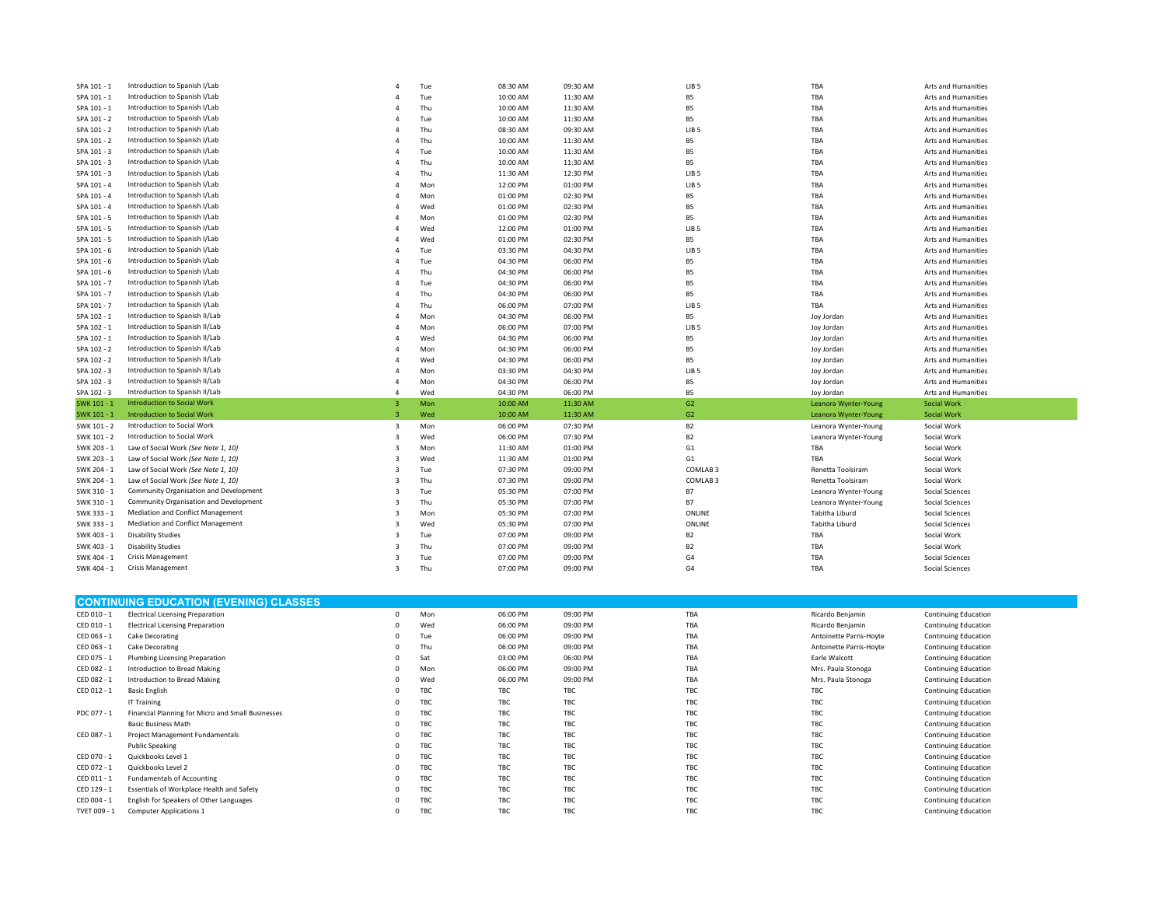| SPA 101 - 1 | Introduction to Spanish I/Lab            |                | Tue | 08:30 AM | 09:30 AM | LIB <sub>5</sub>    | TBA                  | Arts and Humanities        |
|-------------|------------------------------------------|----------------|-----|----------|----------|---------------------|----------------------|----------------------------|
| SPA 101 - 1 | Introduction to Spanish I/Lab            |                | Tue | 10:00 AM | 11:30 AM | B5                  | TBA                  | <b>Arts and Humanities</b> |
| SPA 101 - 1 | Introduction to Spanish I/Lab            | Δ              | Thu | 10:00 AM | 11:30 AM | <b>B5</b>           | TBA                  | Arts and Humanities        |
| SPA 101 - 2 | Introduction to Spanish I/Lab            | 4              | Tue | 10:00 AM | 11:30 AM | <b>B5</b>           | TBA                  | Arts and Humanities        |
| SPA 101 - 2 | Introduction to Spanish I/Lab            |                | Thu | 08:30 AM | 09:30 AM | LIB <sub>5</sub>    | TBA                  | Arts and Humanities        |
| SPA 101 - 2 | Introduction to Spanish I/Lab            |                | Thu | 10:00 AM | 11:30 AM | B5                  | TBA                  | Arts and Humanities        |
| SPA 101 - 3 | Introduction to Spanish I/Lab            | Δ              | Tue | 10:00 AM | 11:30 AM | <b>B5</b>           | TBA                  | Arts and Humanities        |
| SPA 101 - 3 | Introduction to Spanish I/Lab            |                | Thu | 10:00 AM | 11:30 AM | B5                  | TBA                  | Arts and Humanities        |
| SPA 101 - 3 | Introduction to Spanish I/Lab            | Δ              | Thu | 11:30 AM | 12:30 PM | LIB <sub>5</sub>    | TBA                  | Arts and Humanities        |
| SPA 101 - 4 | Introduction to Spanish I/Lab            | Δ              | Mon | 12:00 PM | 01:00 PM | LIB <sub>5</sub>    | TBA                  | Arts and Humanities        |
| SPA 101 - 4 | Introduction to Spanish I/Lab            | 4              | Mon | 01:00 PM | 02:30 PM | <b>B5</b>           | TBA                  | Arts and Humanities        |
| SPA 101 - 4 | Introduction to Spanish I/Lab            | $\overline{4}$ | Wed | 01:00 PM | 02:30 PM | <b>B5</b>           | TBA                  | Arts and Humanities        |
| SPA 101 - 5 | Introduction to Spanish I/Lab            | Δ              | Mon | 01:00 PM | 02:30 PM | <b>B5</b>           | TBA                  | Arts and Humanities        |
| SPA 101 - 5 | Introduction to Spanish I/Lab            | 4              | Wed | 12:00 PM | 01:00 PM | LIB <sub>5</sub>    | TBA                  | Arts and Humanities        |
| SPA 101 - 5 | Introduction to Spanish I/Lab            | $\Delta$       | Wed | 01:00 PM | 02:30 PM | <b>B5</b>           | TBA                  | Arts and Humanities        |
| SPA 101 - 6 | Introduction to Spanish I/Lab            | $\Delta$       | Tue | 03:30 PM | 04:30 PM | LIB <sub>5</sub>    | TBA                  | Arts and Humanities        |
| SPA 101 - 6 | Introduction to Spanish I/Lab            | 4              | Tue | 04:30 PM | 06:00 PM | <b>B5</b>           | TBA                  | Arts and Humanities        |
| SPA 101 - 6 | Introduction to Spanish I/Lab            | $\Delta$       | Thu | 04:30 PM | 06:00 PM | <b>B5</b>           | TBA                  | Arts and Humanities        |
| SPA 101 - 7 | Introduction to Spanish I/Lab            |                | Tue | 04:30 PM | 06:00 PM | <b>B5</b>           | TBA                  | Arts and Humanities        |
| SPA 101 - 7 | Introduction to Spanish I/Lab            | 4              | Thu | 04:30 PM | 06:00 PM | B5                  | TBA                  | Arts and Humanities        |
| SPA 101 - 7 | Introduction to Spanish I/Lab            | Δ              | Thu | 06:00 PM | 07:00 PM | LIB <sub>5</sub>    | TBA                  | Arts and Humanities        |
| SPA 102 - 1 | Introduction to Spanish II/Lab           | Δ              | Mon | 04:30 PM | 06:00 PM | <b>B5</b>           | Joy Jordan           | Arts and Humanities        |
| SPA 102 - 1 | Introduction to Spanish II/Lab           | 4              | Mon | 06:00 PM | 07:00 PM | LIB <sub>5</sub>    | Joy Jordan           | Arts and Humanities        |
| SPA 102 - 1 | Introduction to Spanish II/Lab           | 4              | Wed | 04:30 PM | 06:00 PM | B5                  | Joy Jordan           | Arts and Humanities        |
| SPA 102 - 2 | Introduction to Spanish II/Lab           | Δ              | Mon | 04:30 PM | 06:00 PM | <b>B5</b>           | Joy Jordan           | Arts and Humanities        |
| SPA 102 - 2 | Introduction to Spanish II/Lab           | 4              | Wed | 04:30 PM | 06:00 PM | <b>B5</b>           | Joy Jordan           | Arts and Humanities        |
| SPA 102 - 3 | Introduction to Spanish II/Lab           | $\overline{4}$ | Mon | 03:30 PM | 04:30 PM | LIB <sub>5</sub>    | Joy Jordan           | Arts and Humanities        |
| SPA 102 - 3 | Introduction to Spanish II/Lab           | 4              | Mon | 04:30 PM | 06:00 PM | <b>B5</b>           | Joy Jordan           | Arts and Humanities        |
| SPA 102 - 3 | Introduction to Spanish II/Lab           | 4              | Wed | 04:30 PM | 06:00 PM | <b>B5</b>           | Joy Jordan           | Arts and Humanities        |
| SWK 101 - 1 | Introduction to Social Work              | $\overline{3}$ | Mon | 10:00 AM | 11:30 AM | G2                  | Leanora Wynter-Young | <b>Social Work</b>         |
| SWK 101 - 1 | <b>Introduction to Social Work</b>       | 3              | Wed | 10:00 AM | 11:30 AM | G2                  | Leanora Wynter-Young | <b>Social Work</b>         |
| SWK 101 - 2 | Introduction to Social Work              | 3              | Mon | 06:00 PM | 07:30 PM | <b>B2</b>           | Leanora Wynter-Young | Social Work                |
| SWK 101 - 2 | Introduction to Social Work              | 3              | Wed | 06:00 PM | 07:30 PM | B <sub>2</sub>      | Leanora Wynter-Young | Social Work                |
| SWK 203 - 1 | Law of Social Work (See Note 1, 10)      | 3              | Mon | 11:30 AM | 01:00 PM | G1                  | TBA                  | Social Work                |
| SWK 203 - 1 | Law of Social Work (See Note 1, 10)      | 3              | Wed | 11:30 AM | 01:00 PM | G1                  | TBA                  | Social Work                |
| SWK 204 - 1 | Law of Social Work (See Note 1, 10)      | 3              | Tue | 07:30 PM | 09:00 PM | COMLAB <sub>3</sub> | Renetta Toolsiram    | Social Work                |
| SWK 204 - 1 | Law of Social Work (See Note 1, 10)      | 3              | Thu | 07:30 PM | 09:00 PM | COMLAB <sub>3</sub> | Renetta Toolsiram    | Social Work                |
| SWK 310 - 1 | Community Organisation and Development   | 3              | Tue | 05:30 PM | 07:00 PM | <b>B7</b>           | Leanora Wynter-Young | Social Sciences            |
| SWK 310 - 1 | Community Organisation and Development   | 3              | Thu | 05:30 PM | 07:00 PM | <b>B7</b>           | Leanora Wynter-Young | <b>Social Sciences</b>     |
| SWK 333 - 1 | Mediation and Conflict Management        | 3              | Mon | 05:30 PM | 07:00 PM | ONLINE              | Tabitha Liburd       | <b>Social Sciences</b>     |
| SWK 333 - 1 | <b>Mediation and Conflict Management</b> | 3              | Wed | 05:30 PM | 07:00 PM | ONLINE              | Tabitha Liburd       | <b>Social Sciences</b>     |
| SWK 403 - 1 | <b>Disability Studies</b>                | 3              | Tue | 07:00 PM | 09:00 PM | B <sub>2</sub>      | TBA                  | Social Work                |
| SWK 403 - 1 | <b>Disability Studies</b>                | 3              | Thu | 07:00 PM | 09:00 PM | B <sub>2</sub>      | TBA                  | Social Work                |
| SWK 404 - 1 | <b>Crisis Management</b>                 | 3              | Tue | 07:00 PM | 09:00 PM | G4                  | TBA                  | <b>Social Sciences</b>     |
| SWK 404 - 1 | <b>Crisis Management</b>                 | $\overline{3}$ | Thu | 07:00 PM | 09:00 PM | G <sub>4</sub>      | TBA                  | Social Sciences            |
|             |                                          |                |     |          |          |                     |                      |                            |

|              | <b>CONTINUING EDUCATION (EVENING) CLASSES</b>     |  |     |          |          |     |                         |                             |  |  |
|--------------|---------------------------------------------------|--|-----|----------|----------|-----|-------------------------|-----------------------------|--|--|
| CED 010 - 1  | <b>Electrical Licensing Preparation</b>           |  | Mon | 06:00 PM | 09:00 PM | TBA | Ricardo Benjamin        | <b>Continuing Education</b> |  |  |
| CED 010 - 1  | <b>Electrical Licensing Preparation</b>           |  | Wed | 06:00 PM | 09:00 PM | TBA | Ricardo Benjamin        | <b>Continuing Education</b> |  |  |
| CED 063 - 1  | Cake Decorating                                   |  | Tue | 06:00 PM | 09:00 PM | TBA | Antoinette Parris-Hoyte | <b>Continuing Education</b> |  |  |
| CED 063 - 1  | Cake Decorating                                   |  | Thu | 06:00 PM | 09:00 PM | TBA | Antoinette Parris-Hoyte | <b>Continuing Education</b> |  |  |
| CED 075 - 1  | Plumbing Licensing Preparation                    |  | Sat | 03:00 PM | 06:00 PM | TBA | Earle Walcott           | <b>Continuing Education</b> |  |  |
| CED 082 - 1  | Introduction to Bread Making                      |  | Mon | 06:00 PM | 09:00 PM | TBA | Mrs. Paula Stonoga      | <b>Continuing Education</b> |  |  |
| CED 082 - 1  | Introduction to Bread Making                      |  | Wed | 06:00 PM | 09:00 PM | TBA | Mrs. Paula Stonoga      | <b>Continuing Education</b> |  |  |
| CED 012 - 1  | <b>Basic English</b>                              |  | TBC | TBC      | TBC      | TBC | TBC                     | <b>Continuing Education</b> |  |  |
|              | IT Training                                       |  | TBC | TBC      | TBC      | TBC | TBC                     | <b>Continuing Education</b> |  |  |
| PDC 077 - 1  | Financial Planning for Micro and Small Businesses |  | TBC | TBC      | TBC      | TBC | TBC                     | <b>Continuing Education</b> |  |  |
|              | <b>Basic Business Math</b>                        |  | TBC | TBC      | TBC      | TBC | TBC                     | <b>Continuing Education</b> |  |  |
| CED 087 - 1  | Project Management Fundamentals                   |  | TBC | TBC      | TBC      | TBC | TBC                     | <b>Continuing Education</b> |  |  |
|              | <b>Public Speaking</b>                            |  | TBC | TBC      | TBC      | TBC | TBC                     | <b>Continuing Education</b> |  |  |
| CED 070 - 1  | Quickbooks Level 1                                |  | TBC | TBC      | TBC      | TBC | TBC                     | <b>Continuing Education</b> |  |  |
| CED 072 - 1  | Quickbooks Level 2                                |  | TBC | TBC      | TBC      | TBC | TBC                     | <b>Continuing Education</b> |  |  |
| CED 011 - 1  | <b>Fundamentals of Accounting</b>                 |  | TBC | TBC      | TBC      | TBC | TBC                     | <b>Continuing Education</b> |  |  |
| CED 129 - 1  | Essentials of Workplace Health and Safety         |  | TBC | TBC      | TBC      | TBC | TBC                     | <b>Continuing Education</b> |  |  |
| CED 004 - 1  | English for Speakers of Other Languages           |  | TBC | TBC      | TBC      | TBC | TBC                     | <b>Continuing Education</b> |  |  |
| TVET 009 - 1 | <b>Computer Applications 1</b>                    |  | TBC | TBC      | TBC      | TBC | TBC                     | <b>Continuing Education</b> |  |  |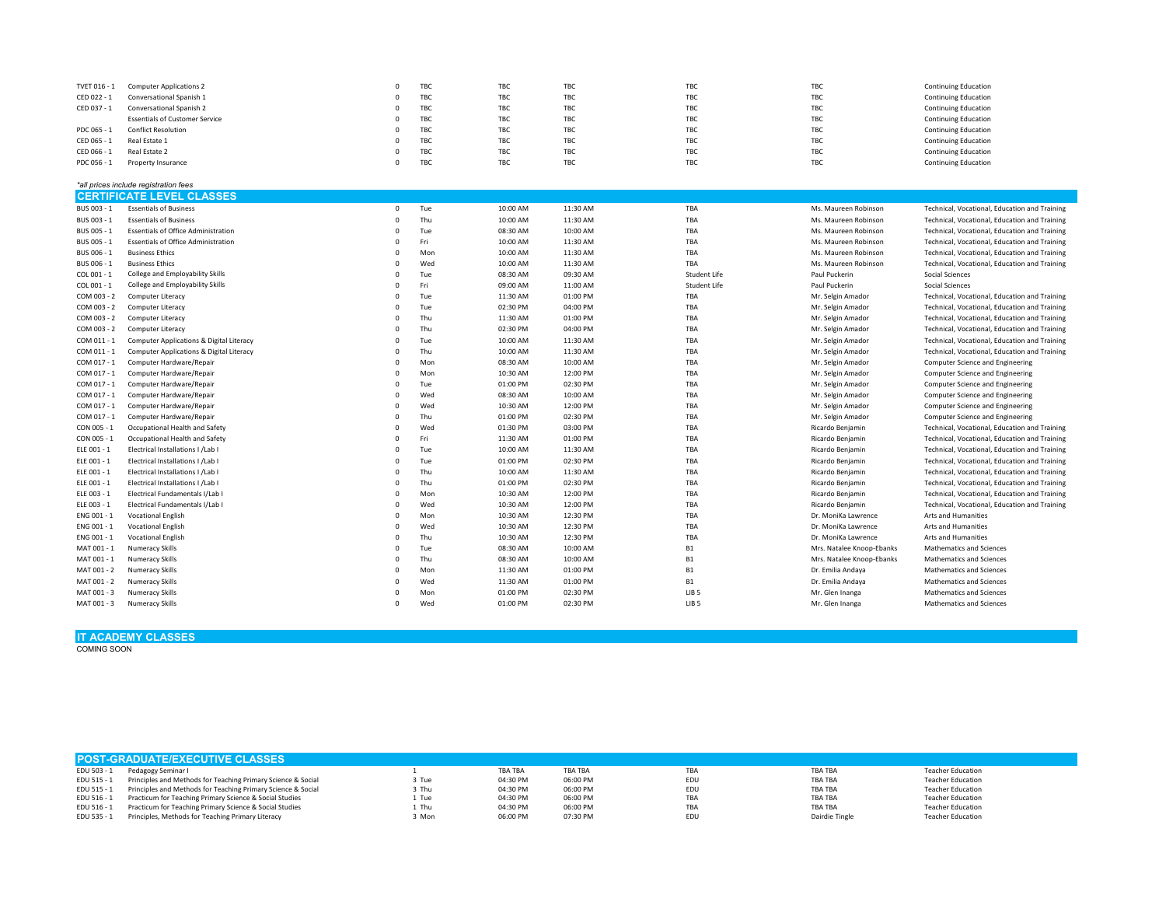| TVET 016 - 1 | <b>Computer Applications 2</b>             | $\Omega$ | TBC | TBC        | TBC        | TBC                 | TBC                       | <b>Continuing Education</b>                   |
|--------------|--------------------------------------------|----------|-----|------------|------------|---------------------|---------------------------|-----------------------------------------------|
| CED 022 - 1  | Conversational Spanish 1                   | $\Omega$ | TBC | TBC        | TBC        | TBC                 | TBC                       | <b>Continuing Education</b>                   |
| CED 037 - 1  | Conversational Spanish 2                   | $\Omega$ | TBC | TBC        | TBC        | TBC                 | TBC                       | <b>Continuing Education</b>                   |
|              | <b>Essentials of Customer Service</b>      | $\Omega$ | TBC | TBC        | TBC        | TBC                 | TBC                       | <b>Continuing Education</b>                   |
| PDC 065 - 1  | <b>Conflict Resolution</b>                 | $\Omega$ | TBC | TBC        | TBC        | TBC                 | TBC                       | <b>Continuing Education</b>                   |
| CED 065 - 1  | Real Estate 1                              | $\Omega$ | TBC | TBC        | TBC        | TBC                 | TBC                       | <b>Continuing Education</b>                   |
| CED 066 - 1  | Real Estate 2                              | $\Omega$ | TBC | <b>TBC</b> | <b>TBC</b> | <b>TBC</b>          | TBC                       | <b>Continuing Education</b>                   |
| PDC 056 - 1  | Property Insurance                         | $\Omega$ | TBC | TBC        | TBC        | TBC                 | TBC                       | <b>Continuing Education</b>                   |
|              | *all prices include registration fees      |          |     |            |            |                     |                           |                                               |
|              | <b>CERTIFICATE LEVEL CLASSES</b>           |          |     |            |            |                     |                           |                                               |
| BUS 003 - 1  | <b>Essentials of Business</b>              | $\Omega$ | Tue | 10:00 AM   | 11:30 AM   | TBA                 | Ms. Maureen Robinson      | Technical, Vocational, Education and Training |
|              |                                            | $\Omega$ | Thu |            |            | TBA                 |                           |                                               |
| BUS 003 - 1  | <b>Essentials of Business</b>              | $\Omega$ |     | 10:00 AM   | 11:30 AM   | TBA                 | Ms. Maureen Robinson      | Technical, Vocational, Education and Training |
| BUS 005 - 1  | <b>Essentials of Office Administration</b> | $\Omega$ | Tue | 08:30 AM   | 10:00 AM   |                     | Ms. Maureen Robinson      | Technical, Vocational, Education and Training |
| BUS 005 - 1  | <b>Essentials of Office Administration</b> | $\Omega$ | Fri | 10:00 AM   | 11:30 AM   | TBA<br>TBA          | Ms. Maureen Robinson      | Technical, Vocational, Education and Training |
| BUS 006 - 1  | <b>Business Ethics</b>                     | $\Omega$ | Mon | 10:00 AM   | 11:30 AM   |                     | Ms. Maureen Robinson      | Technical, Vocational, Education and Training |
| BUS 006 - 1  | <b>Business Ethics</b>                     |          | Wed | 10:00 AM   | 11:30 AM   | TBA                 | Ms. Maureen Robinson      | Technical, Vocational, Education and Training |
| COL 001 - 1  | College and Employability Skills           | $\Omega$ | Tue | 08:30 AM   | 09:30 AM   | Student Life        | Paul Puckerin             | <b>Social Sciences</b>                        |
| COL 001 - 1  | College and Employability Skills           | $\Omega$ | Fri | 09:00 AM   | 11:00 AM   | <b>Student Life</b> | Paul Puckerin             | Social Sciences                               |
| COM 003 - 2  | Computer Literacy                          | $\Omega$ | Tue | 11:30 AM   | 01:00 PM   | TBA                 | Mr. Selgin Amador         | Technical, Vocational, Education and Training |
| COM 003 - 2  | Computer Literacy                          | $\Omega$ | Tue | 02:30 PM   | 04:00 PM   | TBA                 | Mr. Selgin Amador         | Technical, Vocational, Education and Training |
| COM 003 - 2  | Computer Literacy                          | $\Omega$ | Thu | 11:30 AM   | 01:00 PM   | TBA                 | Mr. Selgin Amador         | Technical, Vocational, Education and Training |
| COM 003 - 2  | Computer Literacy                          | $\Omega$ | Thu | 02:30 PM   | 04:00 PM   | TBA                 | Mr. Selgin Amador         | Technical, Vocational, Education and Training |
| COM 011 - 1  | Computer Applications & Digital Literacy   | $\Omega$ | Tue | 10:00 AM   | 11:30 AM   | TBA                 | Mr. Selgin Amador         | Technical, Vocational, Education and Training |
| COM 011 - 1  | Computer Applications & Digital Literacy   | $\Omega$ | Thu | 10:00 AM   | 11:30 AM   | TBA                 | Mr. Selgin Amador         | Technical, Vocational, Education and Training |
| COM 017 - 1  | Computer Hardware/Repair                   | $\Omega$ | Mon | 08:30 AM   | 10:00 AM   | TBA                 | Mr. Selgin Amador         | Computer Science and Engineering              |
| COM 017 - 1  | Computer Hardware/Repair                   | $\Omega$ | Mon | 10:30 AM   | 12:00 PM   | TBA                 | Mr. Selgin Amador         | Computer Science and Engineering              |
| COM 017 - 1  | Computer Hardware/Repair                   | $\Omega$ | Tue | 01:00 PM   | 02:30 PM   | <b>TBA</b>          | Mr. Selgin Amador         | Computer Science and Engineering              |
| COM 017 - 1  | Computer Hardware/Repair                   | $\Omega$ | Wed | 08:30 AM   | 10:00 AM   | TBA                 | Mr. Selgin Amador         | Computer Science and Engineering              |
| COM 017 - 1  | Computer Hardware/Repair                   | $\Omega$ | Wed | 10:30 AM   | 12:00 PM   | TBA                 | Mr. Selgin Amador         | Computer Science and Engineering              |
| COM 017 - 1  | Computer Hardware/Repair                   | $\Omega$ | Thu | 01:00 PM   | 02:30 PM   | TBA                 | Mr. Selgin Amador         | Computer Science and Engineering              |
| CON 005 - 1  | Occupational Health and Safety             | $\Omega$ | Wed | 01:30 PM   | 03:00 PM   | TBA                 | Ricardo Benjamin          | Technical, Vocational, Education and Training |
| CON 005 - 1  | Occupational Health and Safety             | $\Omega$ | Fri | 11:30 AM   | 01:00 PM   | TBA                 | Ricardo Benjamin          | Technical, Vocational, Education and Training |
| ELE 001 - 1  | Electrical Installations I /Lab I          | $\Omega$ | Tue | 10:00 AM   | 11:30 AM   | TBA                 | Ricardo Benjamin          | Technical, Vocational, Education and Training |
| ELE 001 - 1  | Electrical Installations I /Lab I          |          | Tue | 01:00 PM   | 02:30 PM   | <b>TBA</b>          | Ricardo Benjamin          | Technical, Vocational, Education and Training |
| ELE 001 - 1  | Electrical Installations I /Lab I          | $\Omega$ | Thu | 10:00 AM   | 11:30 AM   | TBA                 | Ricardo Benjamin          | Technical, Vocational, Education and Training |
| ELE 001 - 1  | Electrical Installations I /Lab I          | $\Omega$ | Thu | 01:00 PM   | 02:30 PM   | TBA                 | Ricardo Benjamin          | Technical, Vocational, Education and Training |
| ELE 003 - 1  | Electrical Fundamentals I/Lab I            | $\Omega$ | Mon | 10:30 AM   | 12:00 PM   | TBA                 | Ricardo Benjamin          | Technical, Vocational, Education and Training |
| ELE 003 - 1  | Electrical Fundamentals I/Lab I            | $\Omega$ | Wed | 10:30 AM   | 12:00 PM   | TBA                 | Ricardo Benjamin          | Technical, Vocational, Education and Training |
| ENG 001 - 1  | <b>Vocational English</b>                  | $\Omega$ | Mon | 10:30 AM   | 12:30 PM   | TBA                 | Dr. MoniKa Lawrence       | Arts and Humanities                           |
| ENG 001 - 1  | <b>Vocational English</b>                  | $\Omega$ | Wed | 10:30 AM   | 12:30 PM   | TBA                 | Dr. MoniKa Lawrence       | Arts and Humanities                           |
| ENG 001 - 1  | <b>Vocational English</b>                  | $\Omega$ | Thu | 10:30 AM   | 12:30 PM   | TBA                 | Dr. MoniKa Lawrence       | Arts and Humanities                           |
| MAT 001 - 1  | <b>Numeracy Skills</b>                     | $\Omega$ | Tue | 08:30 AM   | 10:00 AM   | <b>B1</b>           | Mrs. Natalee Knoop-Ebanks | Mathematics and Sciences                      |
| MAT 001 - 1  | <b>Numeracy Skills</b>                     | $\Omega$ | Thu | 08:30 AM   | 10:00 AM   | <b>B1</b>           | Mrs. Natalee Knoop-Ebanks | Mathematics and Sciences                      |
| MAT 001 - 2  | <b>Numeracy Skills</b>                     | $\Omega$ | Mon | 11:30 AM   | 01:00 PM   | <b>B1</b>           | Dr. Emilia Andaya         | Mathematics and Sciences                      |
| MAT 001 - 2  | <b>Numeracy Skills</b>                     | $\Omega$ | Wed | 11:30 AM   | 01:00 PM   | <b>B1</b>           | Dr. Emilia Andaya         | Mathematics and Sciences                      |
| MAT 001 - 3  | Numeracy Skills                            | $\Omega$ | Mon | 01:00 PM   | 02:30 PM   | LIB <sub>5</sub>    | Mr. Glen Inanga           | Mathematics and Sciences                      |
| MAT 001 - 3  | <b>Numeracy Skills</b>                     | $\Omega$ | Wed | 01:00 PM   | 02:30 PM   | LIB <sub>5</sub>    | Mr. Glen Inanga           | Mathematics and Sciences                      |
|              |                                            |          |     |            |            |                     |                           |                                               |

## **IT ACADEMY CLASSES** COMING SOON

| <b>POST-GRADUATE/EXECUTIVE CLASSES</b> |                                                                          |       |                |                |            |                |                          |  |  |
|----------------------------------------|--------------------------------------------------------------------------|-------|----------------|----------------|------------|----------------|--------------------------|--|--|
|                                        | EDU 503 - 1 Pedagogy Seminar I                                           |       | <b>TBA TBA</b> | <b>TBA TBA</b> | TBA        | <b>TBA TBA</b> | <b>Teacher Education</b> |  |  |
|                                        | EDU 515 - 1 Principles and Methods for Teaching Primary Science & Social | 3 Tue | 04:30 PM       | 06:00 PM       | <b>EDL</b> | <b>TBA TBA</b> | <b>Teacher Education</b> |  |  |
|                                        | EDU 515 - 1 Principles and Methods for Teaching Primary Science & Social | 3 Thu | 04:30 PM       | 06:00 PM       | EDL        | <b>TBA TBA</b> | <b>Teacher Education</b> |  |  |
|                                        | EDU 516 - 1 Practicum for Teaching Primary Science & Social Studies      | 1 Tue | 04:30 PM       | 06:00 PM       | TBA        | <b>TBA TBA</b> | <b>Teacher Education</b> |  |  |
|                                        | EDU 516 - 1 Practicum for Teaching Primary Science & Social Studies      | 1 Thu | 04:30 PM       | 06:00 PM       | TBA        | <b>TBA TBA</b> | <b>Teacher Education</b> |  |  |
|                                        | EDU 535 - 1 Principles, Methods for Teaching Primary Literacy            | 3 Mon | 06:00 PM       | 07:30 PM       | <b>EDL</b> | Dairdie Tingle | <b>Teacher Education</b> |  |  |